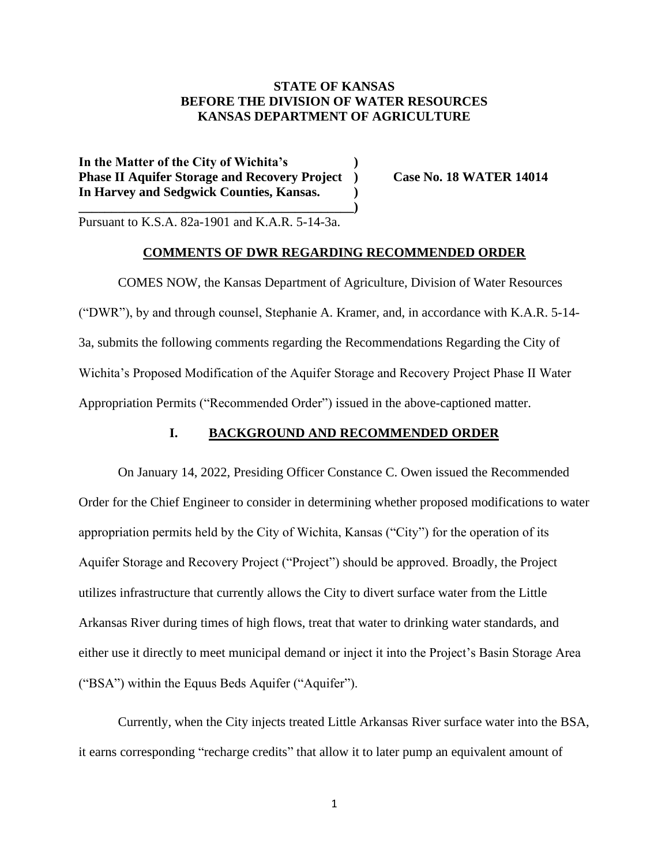# **STATE OF KANSAS BEFORE THE DIVISION OF WATER RESOURCES KANSAS DEPARTMENT OF AGRICULTURE**

**In the Matter of the City of Wichita's ) Phase II Aquifer Storage and Recovery Project ) Case No. 18 WATER 14014 In Harvey and Sedgwick Counties, Kansas. )**

**\_\_\_\_\_\_\_\_\_\_\_\_\_\_\_\_\_\_\_\_\_\_\_\_\_\_\_\_\_\_\_\_\_\_\_\_\_\_\_\_\_\_)**

Pursuant to K.S.A. 82a-1901 and K.A.R. 5-14-3a.

### **COMMENTS OF DWR REGARDING RECOMMENDED ORDER**

COMES NOW, the Kansas Department of Agriculture, Division of Water Resources ("DWR"), by and through counsel, Stephanie A. Kramer, and, in accordance with K.A.R. 5-14- 3a, submits the following comments regarding the Recommendations Regarding the City of Wichita's Proposed Modification of the Aquifer Storage and Recovery Project Phase II Water Appropriation Permits ("Recommended Order") issued in the above-captioned matter.

# **I. BACKGROUND AND RECOMMENDED ORDER**

On January 14, 2022, Presiding Officer Constance C. Owen issued the Recommended Order for the Chief Engineer to consider in determining whether proposed modifications to water appropriation permits held by the City of Wichita, Kansas ("City") for the operation of its Aquifer Storage and Recovery Project ("Project") should be approved. Broadly, the Project utilizes infrastructure that currently allows the City to divert surface water from the Little Arkansas River during times of high flows, treat that water to drinking water standards, and either use it directly to meet municipal demand or inject it into the Project's Basin Storage Area ("BSA") within the Equus Beds Aquifer ("Aquifer").

Currently, when the City injects treated Little Arkansas River surface water into the BSA, it earns corresponding "recharge credits" that allow it to later pump an equivalent amount of

1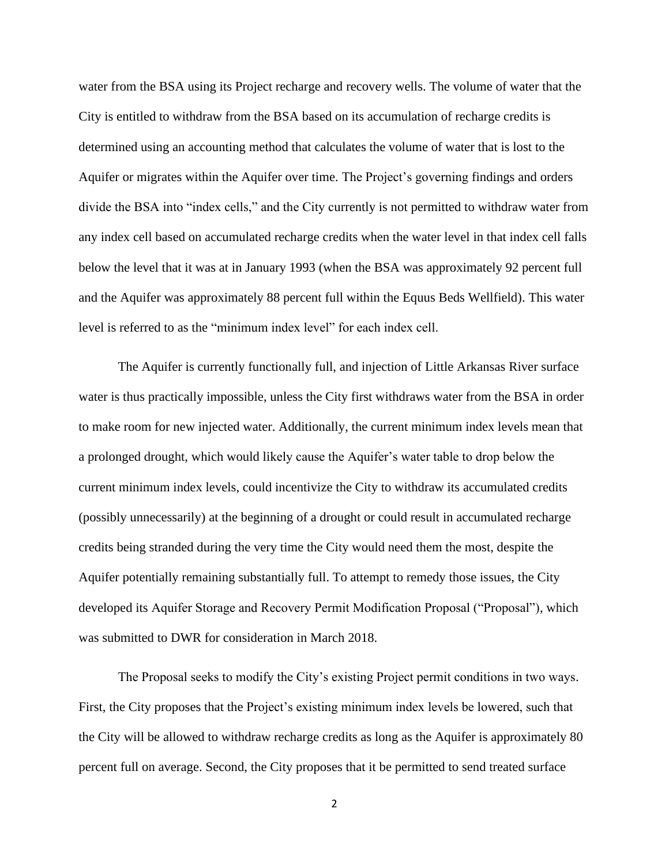water from the BSA using its Project recharge and recovery wells. The volume of water that the City is entitled to withdraw from the BSA based on its accumulation of recharge credits is determined using an accounting method that calculates the volume of water that is lost to the Aquifer or migrates within the Aquifer over time. The Project's governing findings and orders divide the BSA into "index cells," and the City currently is not permitted to withdraw water from any index cell based on accumulated recharge credits when the water level in that index cell falls below the level that it was at in January 1993 (when the BSA was approximately 92 percent full and the Aquifer was approximately 88 percent full within the Equus Beds Wellfield). This water level is referred to as the "minimum index level" for each index cell.

The Aquifer is currently functionally full, and injection of Little Arkansas River surface water is thus practically impossible, unless the City first withdraws water from the BSA in order to make room for new injected water. Additionally, the current minimum index levels mean that a prolonged drought, which would likely cause the Aquifer's water table to drop below the current minimum index levels, could incentivize the City to withdraw its accumulated credits (possibly unnecessarily) at the beginning of a drought or could result in accumulated recharge credits being stranded during the very time the City would need them the most, despite the Aquifer potentially remaining substantially full. To attempt to remedy those issues, the City developed its Aquifer Storage and Recovery Permit Modification Proposal ("Proposal"), which was submitted to DWR for consideration in March 2018.

The Proposal seeks to modify the City's existing Project permit conditions in two ways. First, the City proposes that the Project's existing minimum index levels be lowered, such that the City will be allowed to withdraw recharge credits as long as the Aquifer is approximately 80 percent full on average. Second, the City proposes that it be permitted to send treated surface

2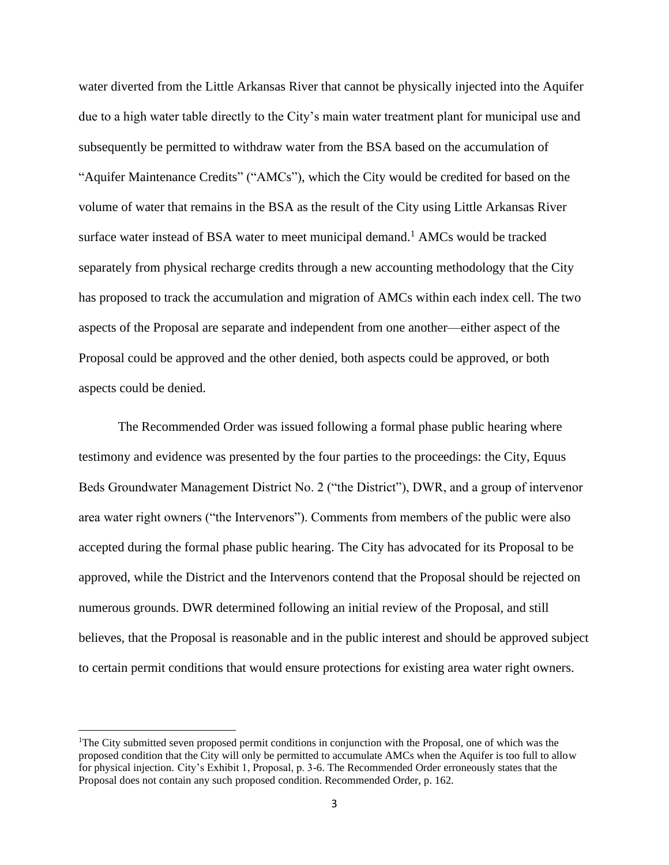water diverted from the Little Arkansas River that cannot be physically injected into the Aquifer due to a high water table directly to the City's main water treatment plant for municipal use and subsequently be permitted to withdraw water from the BSA based on the accumulation of "Aquifer Maintenance Credits" ("AMCs"), which the City would be credited for based on the volume of water that remains in the BSA as the result of the City using Little Arkansas River surface water instead of BSA water to meet municipal demand.<sup>1</sup> AMCs would be tracked separately from physical recharge credits through a new accounting methodology that the City has proposed to track the accumulation and migration of AMCs within each index cell. The two aspects of the Proposal are separate and independent from one another—either aspect of the Proposal could be approved and the other denied, both aspects could be approved, or both aspects could be denied.

The Recommended Order was issued following a formal phase public hearing where testimony and evidence was presented by the four parties to the proceedings: the City, Equus Beds Groundwater Management District No. 2 ("the District"), DWR, and a group of intervenor area water right owners ("the Intervenors"). Comments from members of the public were also accepted during the formal phase public hearing. The City has advocated for its Proposal to be approved, while the District and the Intervenors contend that the Proposal should be rejected on numerous grounds. DWR determined following an initial review of the Proposal, and still believes, that the Proposal is reasonable and in the public interest and should be approved subject to certain permit conditions that would ensure protections for existing area water right owners.

<sup>&</sup>lt;sup>1</sup>The City submitted seven proposed permit conditions in conjunction with the Proposal, one of which was the proposed condition that the City will only be permitted to accumulate AMCs when the Aquifer is too full to allow for physical injection. City's Exhibit 1, Proposal, p. 3-6. The Recommended Order erroneously states that the Proposal does not contain any such proposed condition. Recommended Order, p. 162.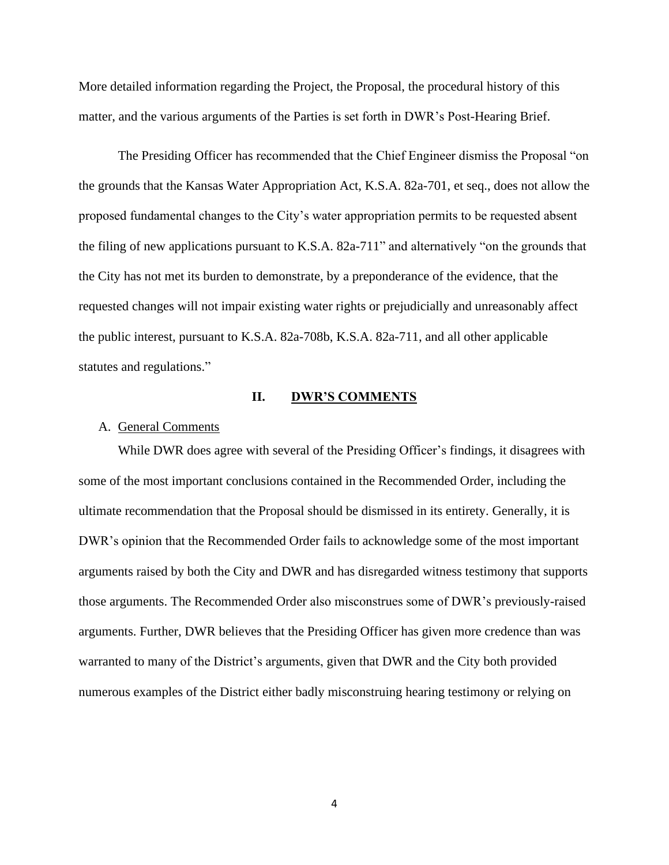More detailed information regarding the Project, the Proposal, the procedural history of this matter, and the various arguments of the Parties is set forth in DWR's Post-Hearing Brief.

The Presiding Officer has recommended that the Chief Engineer dismiss the Proposal "on the grounds that the Kansas Water Appropriation Act, K.S.A. 82a-701, et seq., does not allow the proposed fundamental changes to the City's water appropriation permits to be requested absent the filing of new applications pursuant to K.S.A. 82a-711" and alternatively "on the grounds that the City has not met its burden to demonstrate, by a preponderance of the evidence, that the requested changes will not impair existing water rights or prejudicially and unreasonably affect the public interest, pursuant to K.S.A. 82a-708b, K.S.A. 82a-711, and all other applicable statutes and regulations."

# **II. DWR'S COMMENTS**

### A. General Comments

While DWR does agree with several of the Presiding Officer's findings, it disagrees with some of the most important conclusions contained in the Recommended Order, including the ultimate recommendation that the Proposal should be dismissed in its entirety. Generally, it is DWR's opinion that the Recommended Order fails to acknowledge some of the most important arguments raised by both the City and DWR and has disregarded witness testimony that supports those arguments. The Recommended Order also misconstrues some of DWR's previously-raised arguments. Further, DWR believes that the Presiding Officer has given more credence than was warranted to many of the District's arguments, given that DWR and the City both provided numerous examples of the District either badly misconstruing hearing testimony or relying on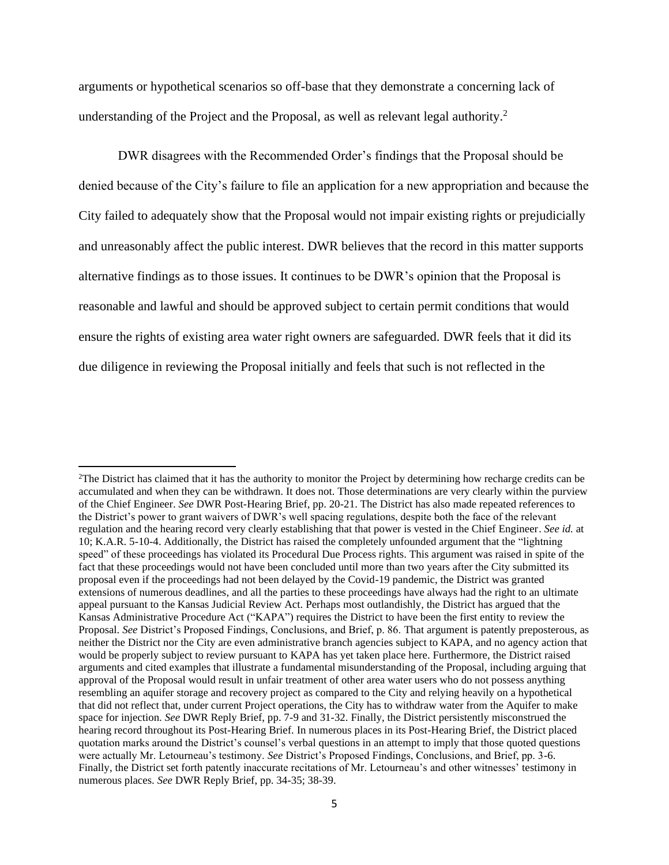arguments or hypothetical scenarios so off-base that they demonstrate a concerning lack of understanding of the Project and the Proposal, as well as relevant legal authority.<sup>2</sup>

DWR disagrees with the Recommended Order's findings that the Proposal should be denied because of the City's failure to file an application for a new appropriation and because the City failed to adequately show that the Proposal would not impair existing rights or prejudicially and unreasonably affect the public interest. DWR believes that the record in this matter supports alternative findings as to those issues. It continues to be DWR's opinion that the Proposal is reasonable and lawful and should be approved subject to certain permit conditions that would ensure the rights of existing area water right owners are safeguarded. DWR feels that it did its due diligence in reviewing the Proposal initially and feels that such is not reflected in the

<sup>2</sup>The District has claimed that it has the authority to monitor the Project by determining how recharge credits can be accumulated and when they can be withdrawn. It does not. Those determinations are very clearly within the purview of the Chief Engineer. *See* DWR Post-Hearing Brief, pp. 20-21. The District has also made repeated references to the District's power to grant waivers of DWR's well spacing regulations, despite both the face of the relevant regulation and the hearing record very clearly establishing that that power is vested in the Chief Engineer. *See id.* at 10; K.A.R. 5-10-4. Additionally, the District has raised the completely unfounded argument that the "lightning speed" of these proceedings has violated its Procedural Due Process rights. This argument was raised in spite of the fact that these proceedings would not have been concluded until more than two years after the City submitted its proposal even if the proceedings had not been delayed by the Covid-19 pandemic, the District was granted extensions of numerous deadlines, and all the parties to these proceedings have always had the right to an ultimate appeal pursuant to the Kansas Judicial Review Act. Perhaps most outlandishly, the District has argued that the Kansas Administrative Procedure Act ("KAPA") requires the District to have been the first entity to review the Proposal. *See* District's Proposed Findings, Conclusions, and Brief, p. 86. That argument is patently preposterous, as neither the District nor the City are even administrative branch agencies subject to KAPA, and no agency action that would be properly subject to review pursuant to KAPA has yet taken place here. Furthermore, the District raised arguments and cited examples that illustrate a fundamental misunderstanding of the Proposal, including arguing that approval of the Proposal would result in unfair treatment of other area water users who do not possess anything resembling an aquifer storage and recovery project as compared to the City and relying heavily on a hypothetical that did not reflect that, under current Project operations, the City has to withdraw water from the Aquifer to make space for injection. *See* DWR Reply Brief, pp. 7-9 and 31-32. Finally, the District persistently misconstrued the hearing record throughout its Post-Hearing Brief. In numerous places in its Post-Hearing Brief, the District placed quotation marks around the District's counsel's verbal questions in an attempt to imply that those quoted questions were actually Mr. Letourneau's testimony. *See* District's Proposed Findings, Conclusions, and Brief, pp. 3-6. Finally, the District set forth patently inaccurate recitations of Mr. Letourneau's and other witnesses' testimony in numerous places. *See* DWR Reply Brief, pp. 34-35; 38-39.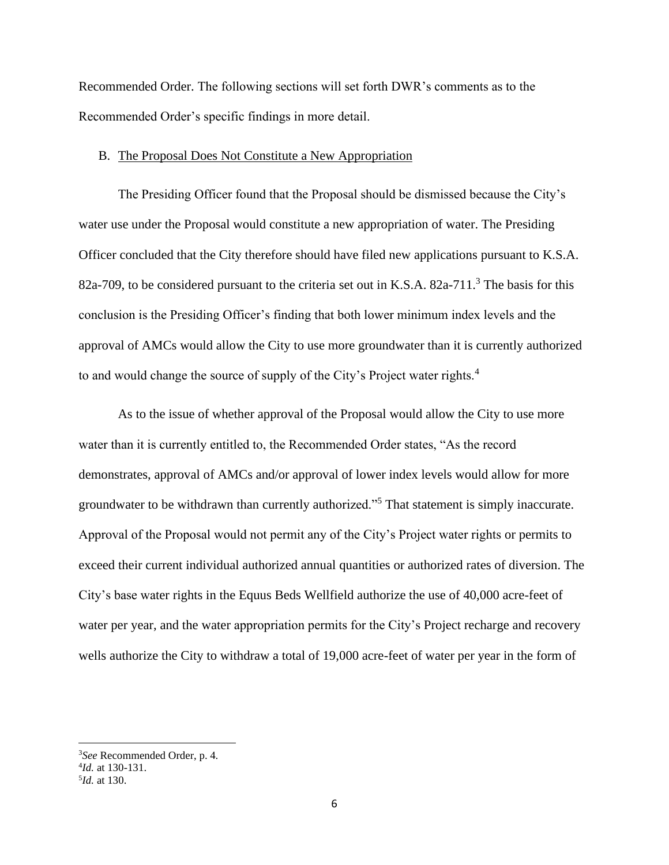Recommended Order. The following sections will set forth DWR's comments as to the Recommended Order's specific findings in more detail.

### B. The Proposal Does Not Constitute a New Appropriation

The Presiding Officer found that the Proposal should be dismissed because the City's water use under the Proposal would constitute a new appropriation of water. The Presiding Officer concluded that the City therefore should have filed new applications pursuant to K.S.A. 82a-709, to be considered pursuant to the criteria set out in K.S.A. 82a-711.<sup>3</sup> The basis for this conclusion is the Presiding Officer's finding that both lower minimum index levels and the approval of AMCs would allow the City to use more groundwater than it is currently authorized to and would change the source of supply of the City's Project water rights.<sup>4</sup>

As to the issue of whether approval of the Proposal would allow the City to use more water than it is currently entitled to, the Recommended Order states, "As the record demonstrates, approval of AMCs and/or approval of lower index levels would allow for more groundwater to be withdrawn than currently authorized."<sup>5</sup> That statement is simply inaccurate. Approval of the Proposal would not permit any of the City's Project water rights or permits to exceed their current individual authorized annual quantities or authorized rates of diversion. The City's base water rights in the Equus Beds Wellfield authorize the use of 40,000 acre-feet of water per year, and the water appropriation permits for the City's Project recharge and recovery wells authorize the City to withdraw a total of 19,000 acre-feet of water per year in the form of

<sup>3</sup>*See* Recommended Order, p. 4.

<sup>4</sup> *Id.* at 130-131.

<sup>5</sup> *Id.* at 130.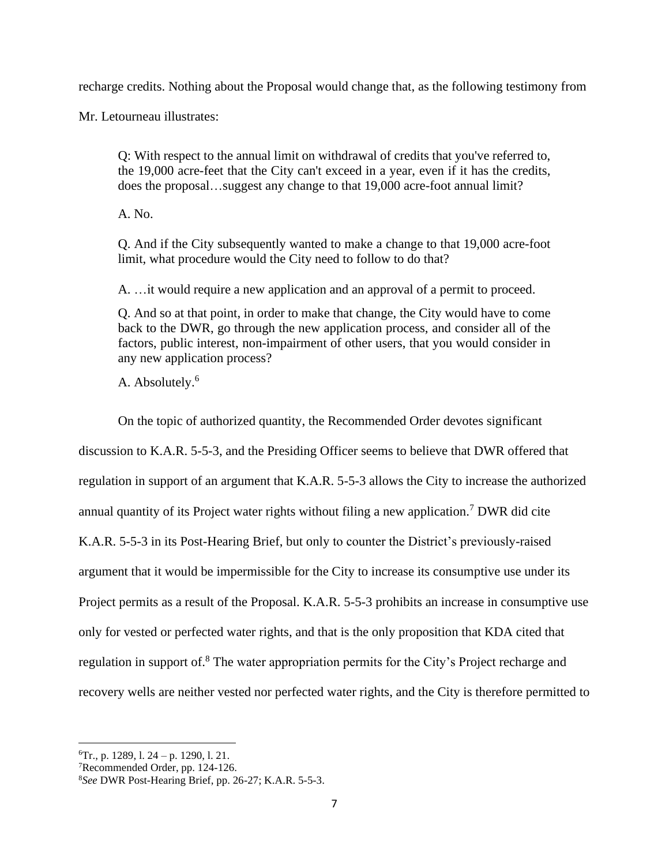recharge credits. Nothing about the Proposal would change that, as the following testimony from

Mr. Letourneau illustrates:

Q: With respect to the annual limit on withdrawal of credits that you've referred to, the 19,000 acre-feet that the City can't exceed in a year, even if it has the credits, does the proposal…suggest any change to that 19,000 acre-foot annual limit?

A. No.

Q. And if the City subsequently wanted to make a change to that 19,000 acre-foot limit, what procedure would the City need to follow to do that?

A. …it would require a new application and an approval of a permit to proceed.

Q. And so at that point, in order to make that change, the City would have to come back to the DWR, go through the new application process, and consider all of the factors, public interest, non-impairment of other users, that you would consider in any new application process?

A. Absolutely.<sup>6</sup>

On the topic of authorized quantity, the Recommended Order devotes significant discussion to K.A.R. 5-5-3, and the Presiding Officer seems to believe that DWR offered that regulation in support of an argument that K.A.R. 5-5-3 allows the City to increase the authorized annual quantity of its Project water rights without filing a new application.<sup>7</sup> DWR did cite K.A.R. 5-5-3 in its Post-Hearing Brief, but only to counter the District's previously-raised argument that it would be impermissible for the City to increase its consumptive use under its Project permits as a result of the Proposal. K.A.R. 5-5-3 prohibits an increase in consumptive use only for vested or perfected water rights, and that is the only proposition that KDA cited that regulation in support of.<sup>8</sup> The water appropriation permits for the City's Project recharge and recovery wells are neither vested nor perfected water rights, and the City is therefore permitted to

 ${}^{6}$ Tr., p. 1289, l. 24 – p. 1290, l. 21.

<sup>7</sup>Recommended Order, pp. 124-126.

<sup>8</sup>*See* DWR Post-Hearing Brief, pp. 26-27; K.A.R. 5-5-3.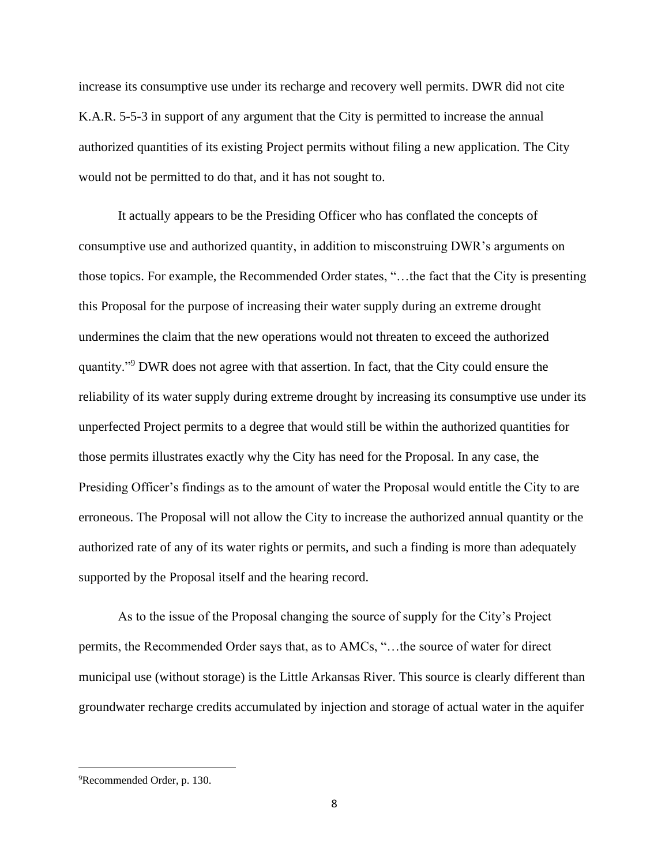increase its consumptive use under its recharge and recovery well permits. DWR did not cite K.A.R. 5-5-3 in support of any argument that the City is permitted to increase the annual authorized quantities of its existing Project permits without filing a new application. The City would not be permitted to do that, and it has not sought to.

It actually appears to be the Presiding Officer who has conflated the concepts of consumptive use and authorized quantity, in addition to misconstruing DWR's arguments on those topics. For example, the Recommended Order states, "…the fact that the City is presenting this Proposal for the purpose of increasing their water supply during an extreme drought undermines the claim that the new operations would not threaten to exceed the authorized quantity."<sup>9</sup> DWR does not agree with that assertion. In fact, that the City could ensure the reliability of its water supply during extreme drought by increasing its consumptive use under its unperfected Project permits to a degree that would still be within the authorized quantities for those permits illustrates exactly why the City has need for the Proposal. In any case, the Presiding Officer's findings as to the amount of water the Proposal would entitle the City to are erroneous. The Proposal will not allow the City to increase the authorized annual quantity or the authorized rate of any of its water rights or permits, and such a finding is more than adequately supported by the Proposal itself and the hearing record.

As to the issue of the Proposal changing the source of supply for the City's Project permits, the Recommended Order says that, as to AMCs, "…the source of water for direct municipal use (without storage) is the Little Arkansas River. This source is clearly different than groundwater recharge credits accumulated by injection and storage of actual water in the aquifer

<sup>9</sup>Recommended Order, p. 130.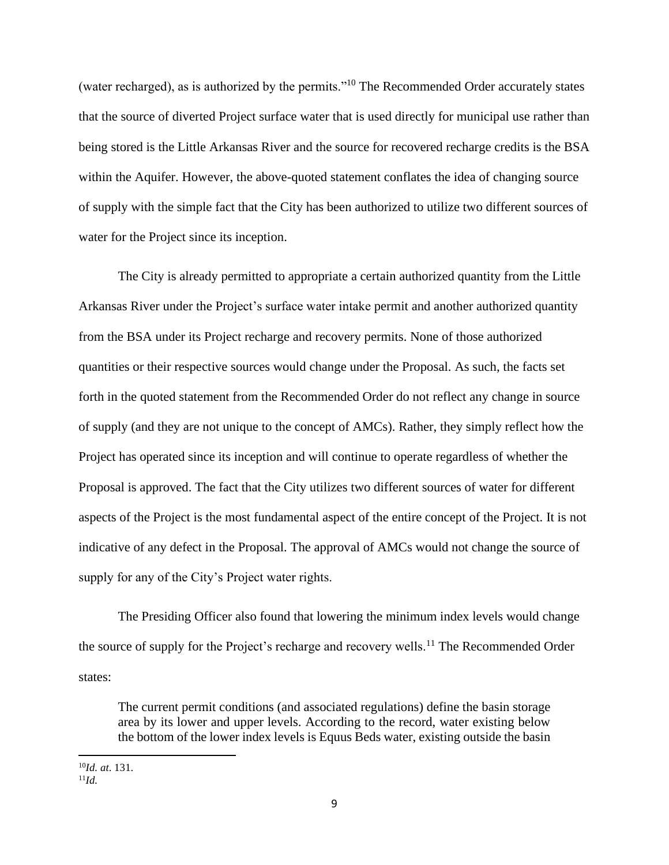(water recharged), as is authorized by the permits."<sup>10</sup> The Recommended Order accurately states that the source of diverted Project surface water that is used directly for municipal use rather than being stored is the Little Arkansas River and the source for recovered recharge credits is the BSA within the Aquifer. However, the above-quoted statement conflates the idea of changing source of supply with the simple fact that the City has been authorized to utilize two different sources of water for the Project since its inception.

The City is already permitted to appropriate a certain authorized quantity from the Little Arkansas River under the Project's surface water intake permit and another authorized quantity from the BSA under its Project recharge and recovery permits. None of those authorized quantities or their respective sources would change under the Proposal. As such, the facts set forth in the quoted statement from the Recommended Order do not reflect any change in source of supply (and they are not unique to the concept of AMCs). Rather, they simply reflect how the Project has operated since its inception and will continue to operate regardless of whether the Proposal is approved. The fact that the City utilizes two different sources of water for different aspects of the Project is the most fundamental aspect of the entire concept of the Project. It is not indicative of any defect in the Proposal. The approval of AMCs would not change the source of supply for any of the City's Project water rights.

The Presiding Officer also found that lowering the minimum index levels would change the source of supply for the Project's recharge and recovery wells.<sup>11</sup> The Recommended Order states:

The current permit conditions (and associated regulations) define the basin storage area by its lower and upper levels. According to the record, water existing below the bottom of the lower index levels is Equus Beds water, existing outside the basin

<sup>10</sup>*Id. at*. 131. 11*Id.*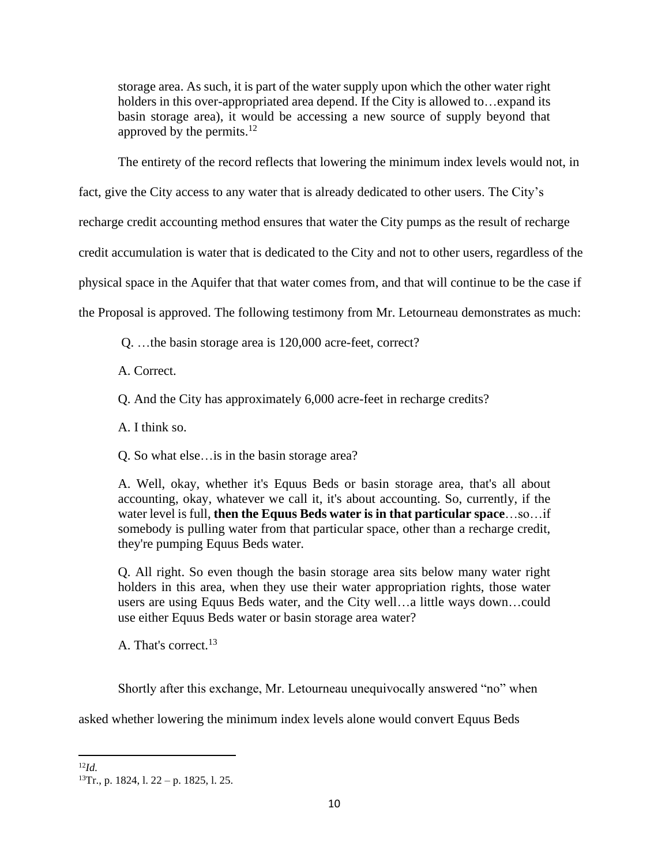storage area. As such, it is part of the water supply upon which the other water right holders in this over-appropriated area depend. If the City is allowed to... expand its basin storage area), it would be accessing a new source of supply beyond that approved by the permits.<sup>12</sup>

The entirety of the record reflects that lowering the minimum index levels would not, in

fact, give the City access to any water that is already dedicated to other users. The City's

recharge credit accounting method ensures that water the City pumps as the result of recharge

credit accumulation is water that is dedicated to the City and not to other users, regardless of the

physical space in the Aquifer that that water comes from, and that will continue to be the case if

the Proposal is approved. The following testimony from Mr. Letourneau demonstrates as much:

Q. …the basin storage area is 120,000 acre-feet, correct?

A. Correct.

Q. And the City has approximately 6,000 acre-feet in recharge credits?

A. I think so.

Q. So what else…is in the basin storage area?

A. Well, okay, whether it's Equus Beds or basin storage area, that's all about accounting, okay, whatever we call it, it's about accounting. So, currently, if the water level is full, **then the Equus Beds water is in that particular space**…so…if somebody is pulling water from that particular space, other than a recharge credit, they're pumping Equus Beds water.

Q. All right. So even though the basin storage area sits below many water right holders in this area, when they use their water appropriation rights, those water users are using Equus Beds water, and the City well…a little ways down…could use either Equus Beds water or basin storage area water?

A. That's correct.<sup>13</sup>

Shortly after this exchange, Mr. Letourneau unequivocally answered "no" when

asked whether lowering the minimum index levels alone would convert Equus Beds

<sup>12</sup>*Id.*

<sup>13</sup>Tr., p. 1824, l. 22 – p. 1825, l. 25.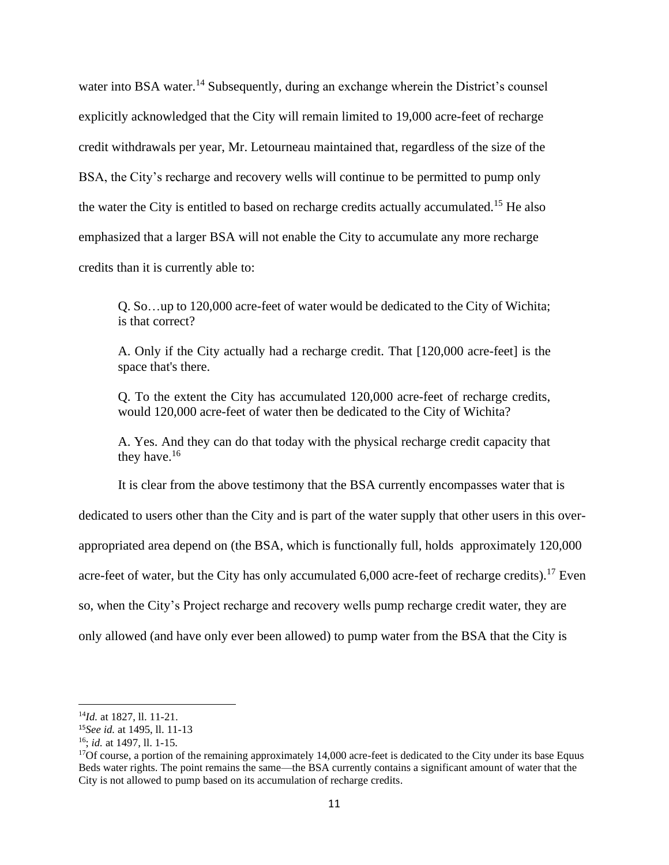water into BSA water.<sup>14</sup> Subsequently, during an exchange wherein the District's counsel explicitly acknowledged that the City will remain limited to 19,000 acre-feet of recharge credit withdrawals per year, Mr. Letourneau maintained that, regardless of the size of the BSA, the City's recharge and recovery wells will continue to be permitted to pump only the water the City is entitled to based on recharge credits actually accumulated.<sup>15</sup> He also emphasized that a larger BSA will not enable the City to accumulate any more recharge credits than it is currently able to:

Q. So…up to 120,000 acre-feet of water would be dedicated to the City of Wichita; is that correct?

A. Only if the City actually had a recharge credit. That [120,000 acre-feet] is the space that's there.

Q. To the extent the City has accumulated 120,000 acre-feet of recharge credits, would 120,000 acre-feet of water then be dedicated to the City of Wichita?

A. Yes. And they can do that today with the physical recharge credit capacity that they have. $16$ 

It is clear from the above testimony that the BSA currently encompasses water that is

dedicated to users other than the City and is part of the water supply that other users in this over-

appropriated area depend on (the BSA, which is functionally full, holds approximately 120,000

acre-feet of water, but the City has only accumulated  $6,000$  acre-feet of recharge credits).<sup>17</sup> Even

so, when the City's Project recharge and recovery wells pump recharge credit water, they are

only allowed (and have only ever been allowed) to pump water from the BSA that the City is

<sup>14</sup>*Id.* at 1827, ll. 11-21.

<sup>15</sup>*See id.* at 1495, ll. 11-13

<sup>16</sup>; *id.* at 1497, ll. 1-15.

 $17$ Of course, a portion of the remaining approximately 14,000 acre-feet is dedicated to the City under its base Equus Beds water rights. The point remains the same—the BSA currently contains a significant amount of water that the City is not allowed to pump based on its accumulation of recharge credits.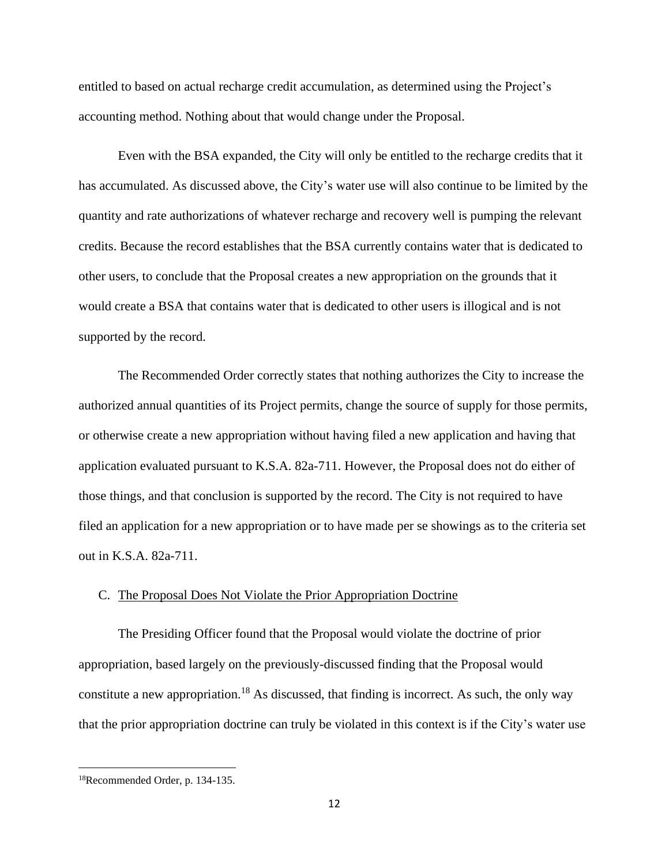entitled to based on actual recharge credit accumulation, as determined using the Project's accounting method. Nothing about that would change under the Proposal.

Even with the BSA expanded, the City will only be entitled to the recharge credits that it has accumulated. As discussed above, the City's water use will also continue to be limited by the quantity and rate authorizations of whatever recharge and recovery well is pumping the relevant credits. Because the record establishes that the BSA currently contains water that is dedicated to other users, to conclude that the Proposal creates a new appropriation on the grounds that it would create a BSA that contains water that is dedicated to other users is illogical and is not supported by the record.

The Recommended Order correctly states that nothing authorizes the City to increase the authorized annual quantities of its Project permits, change the source of supply for those permits, or otherwise create a new appropriation without having filed a new application and having that application evaluated pursuant to K.S.A. 82a-711. However, the Proposal does not do either of those things, and that conclusion is supported by the record. The City is not required to have filed an application for a new appropriation or to have made per se showings as to the criteria set out in K.S.A. 82a-711.

#### C. The Proposal Does Not Violate the Prior Appropriation Doctrine

The Presiding Officer found that the Proposal would violate the doctrine of prior appropriation, based largely on the previously-discussed finding that the Proposal would constitute a new appropriation.<sup>18</sup> As discussed, that finding is incorrect. As such, the only way that the prior appropriation doctrine can truly be violated in this context is if the City's water use

<sup>18</sup>Recommended Order, p. 134-135.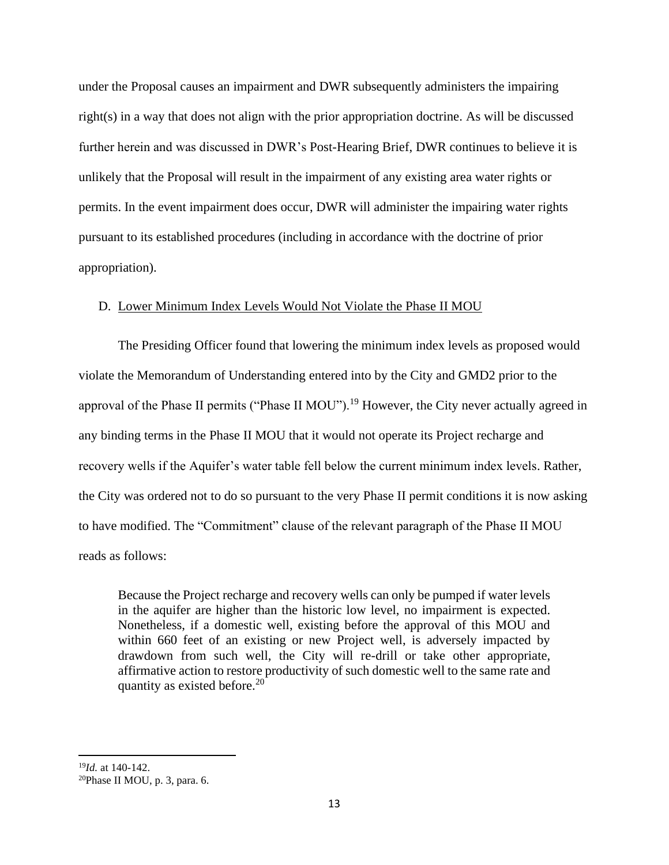under the Proposal causes an impairment and DWR subsequently administers the impairing right(s) in a way that does not align with the prior appropriation doctrine. As will be discussed further herein and was discussed in DWR's Post-Hearing Brief, DWR continues to believe it is unlikely that the Proposal will result in the impairment of any existing area water rights or permits. In the event impairment does occur, DWR will administer the impairing water rights pursuant to its established procedures (including in accordance with the doctrine of prior appropriation).

### D. Lower Minimum Index Levels Would Not Violate the Phase II MOU

The Presiding Officer found that lowering the minimum index levels as proposed would violate the Memorandum of Understanding entered into by the City and GMD2 prior to the approval of the Phase II permits ("Phase II MOU").<sup>19</sup> However, the City never actually agreed in any binding terms in the Phase II MOU that it would not operate its Project recharge and recovery wells if the Aquifer's water table fell below the current minimum index levels. Rather, the City was ordered not to do so pursuant to the very Phase II permit conditions it is now asking to have modified. The "Commitment" clause of the relevant paragraph of the Phase II MOU reads as follows:

Because the Project recharge and recovery wells can only be pumped if water levels in the aquifer are higher than the historic low level, no impairment is expected. Nonetheless, if a domestic well, existing before the approval of this MOU and within 660 feet of an existing or new Project well, is adversely impacted by drawdown from such well, the City will re-drill or take other appropriate, affirmative action to restore productivity of such domestic well to the same rate and quantity as existed before.<sup>20</sup>

<sup>19</sup>*Id.* at 140-142.

<sup>20</sup>Phase II MOU, p. 3, para. 6.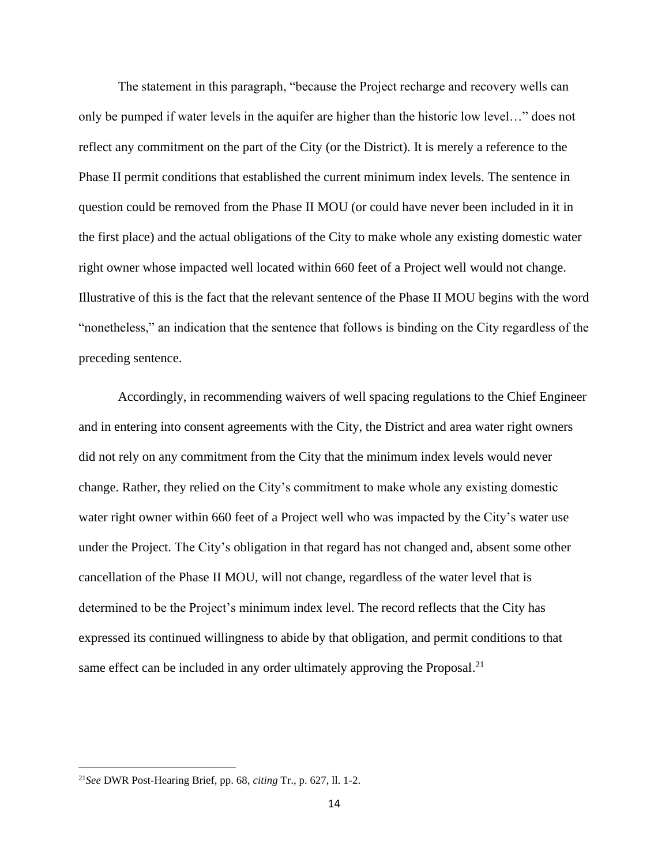The statement in this paragraph, "because the Project recharge and recovery wells can only be pumped if water levels in the aquifer are higher than the historic low level…" does not reflect any commitment on the part of the City (or the District). It is merely a reference to the Phase II permit conditions that established the current minimum index levels. The sentence in question could be removed from the Phase II MOU (or could have never been included in it in the first place) and the actual obligations of the City to make whole any existing domestic water right owner whose impacted well located within 660 feet of a Project well would not change. Illustrative of this is the fact that the relevant sentence of the Phase II MOU begins with the word "nonetheless," an indication that the sentence that follows is binding on the City regardless of the preceding sentence.

Accordingly, in recommending waivers of well spacing regulations to the Chief Engineer and in entering into consent agreements with the City, the District and area water right owners did not rely on any commitment from the City that the minimum index levels would never change. Rather, they relied on the City's commitment to make whole any existing domestic water right owner within 660 feet of a Project well who was impacted by the City's water use under the Project. The City's obligation in that regard has not changed and, absent some other cancellation of the Phase II MOU, will not change, regardless of the water level that is determined to be the Project's minimum index level. The record reflects that the City has expressed its continued willingness to abide by that obligation, and permit conditions to that same effect can be included in any order ultimately approving the Proposal.<sup>21</sup>

<sup>21</sup>*See* DWR Post-Hearing Brief, pp. 68, *citing* Tr., p. 627, ll. 1-2.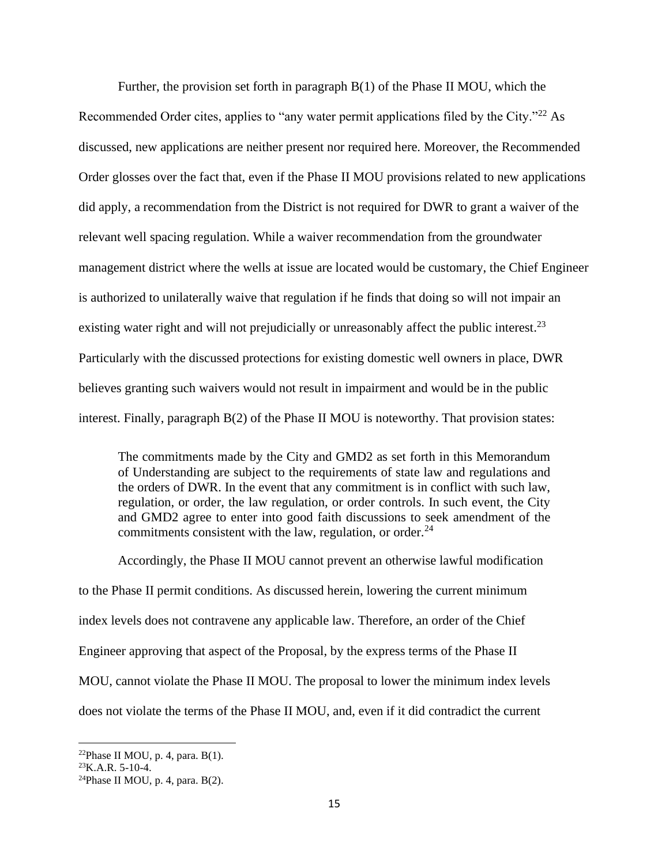Further, the provision set forth in paragraph B(1) of the Phase II MOU, which the Recommended Order cites, applies to "any water permit applications filed by the City."<sup>22</sup> As discussed, new applications are neither present nor required here. Moreover, the Recommended Order glosses over the fact that, even if the Phase II MOU provisions related to new applications did apply, a recommendation from the District is not required for DWR to grant a waiver of the relevant well spacing regulation. While a waiver recommendation from the groundwater management district where the wells at issue are located would be customary, the Chief Engineer is authorized to unilaterally waive that regulation if he finds that doing so will not impair an existing water right and will not prejudicially or unreasonably affect the public interest.<sup>23</sup> Particularly with the discussed protections for existing domestic well owners in place, DWR believes granting such waivers would not result in impairment and would be in the public interest. Finally, paragraph B(2) of the Phase II MOU is noteworthy. That provision states:

The commitments made by the City and GMD2 as set forth in this Memorandum of Understanding are subject to the requirements of state law and regulations and the orders of DWR. In the event that any commitment is in conflict with such law, regulation, or order, the law regulation, or order controls. In such event, the City and GMD2 agree to enter into good faith discussions to seek amendment of the commitments consistent with the law, regulation, or order. $^{24}$ 

Accordingly, the Phase II MOU cannot prevent an otherwise lawful modification to the Phase II permit conditions. As discussed herein, lowering the current minimum index levels does not contravene any applicable law. Therefore, an order of the Chief Engineer approving that aspect of the Proposal, by the express terms of the Phase II MOU, cannot violate the Phase II MOU. The proposal to lower the minimum index levels does not violate the terms of the Phase II MOU, and, even if it did contradict the current

<sup>&</sup>lt;sup>22</sup>Phase II MOU, p. 4, para.  $B(1)$ .

 $^{23}$ K.A.R. 5-10-4.

<sup>&</sup>lt;sup>24</sup>Phase II MOU, p. 4, para.  $B(2)$ .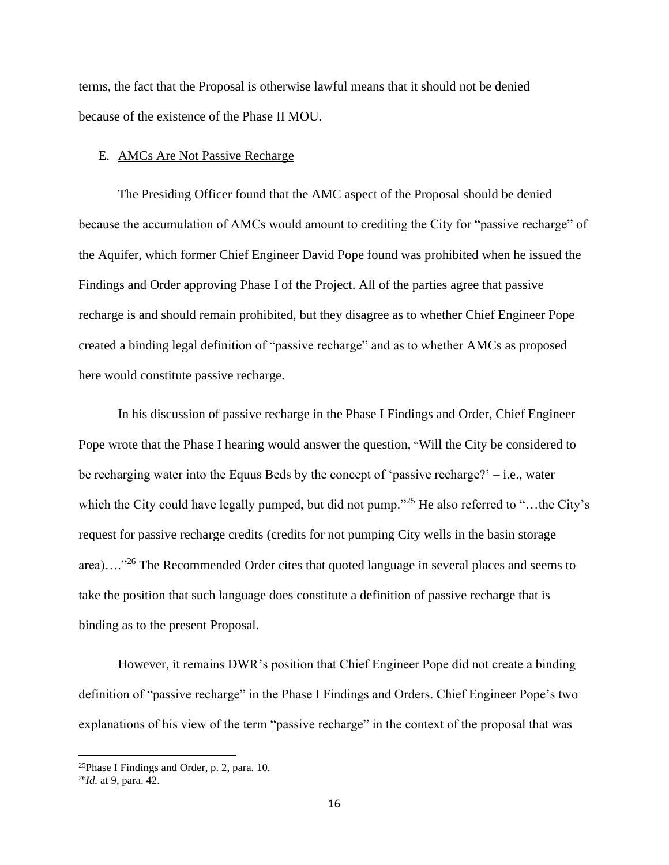terms, the fact that the Proposal is otherwise lawful means that it should not be denied because of the existence of the Phase II MOU.

### E. AMCs Are Not Passive Recharge

The Presiding Officer found that the AMC aspect of the Proposal should be denied because the accumulation of AMCs would amount to crediting the City for "passive recharge" of the Aquifer, which former Chief Engineer David Pope found was prohibited when he issued the Findings and Order approving Phase I of the Project. All of the parties agree that passive recharge is and should remain prohibited, but they disagree as to whether Chief Engineer Pope created a binding legal definition of "passive recharge" and as to whether AMCs as proposed here would constitute passive recharge.

In his discussion of passive recharge in the Phase I Findings and Order, Chief Engineer Pope wrote that the Phase I hearing would answer the question, "Will the City be considered to be recharging water into the Equus Beds by the concept of 'passive recharge?' – i.e., water which the City could have legally pumped, but did not pump."<sup>25</sup> He also referred to "...the City's request for passive recharge credits (credits for not pumping City wells in the basin storage area)…."<sup>26</sup> The Recommended Order cites that quoted language in several places and seems to take the position that such language does constitute a definition of passive recharge that is binding as to the present Proposal.

However, it remains DWR's position that Chief Engineer Pope did not create a binding definition of "passive recharge" in the Phase I Findings and Orders. Chief Engineer Pope's two explanations of his view of the term "passive recharge" in the context of the proposal that was

<sup>25</sup>Phase I Findings and Order, p. 2, para. 10.

<sup>26</sup>*Id.* at 9, para. 42.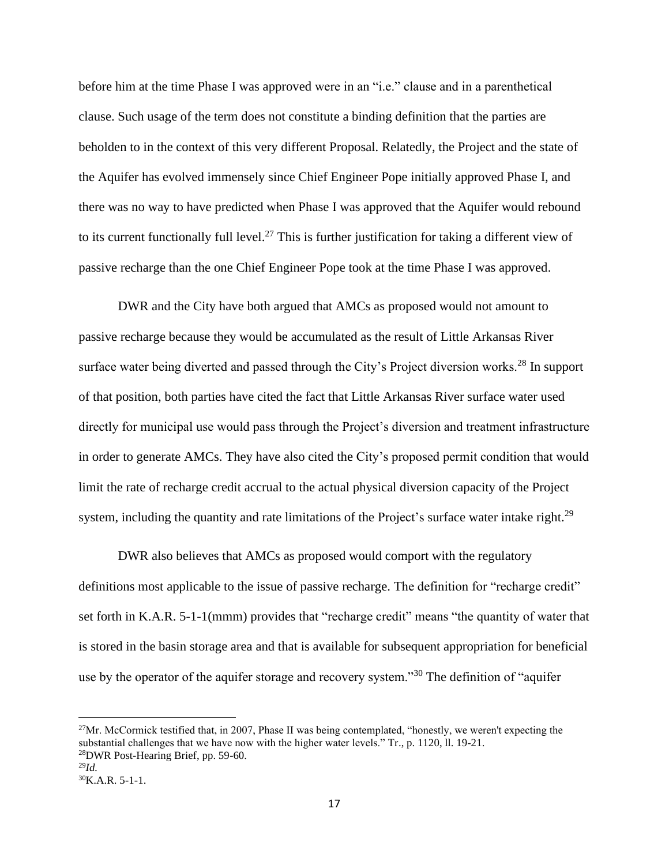before him at the time Phase I was approved were in an "i.e." clause and in a parenthetical clause. Such usage of the term does not constitute a binding definition that the parties are beholden to in the context of this very different Proposal. Relatedly, the Project and the state of the Aquifer has evolved immensely since Chief Engineer Pope initially approved Phase I, and there was no way to have predicted when Phase I was approved that the Aquifer would rebound to its current functionally full level.<sup>27</sup> This is further justification for taking a different view of passive recharge than the one Chief Engineer Pope took at the time Phase I was approved.

DWR and the City have both argued that AMCs as proposed would not amount to passive recharge because they would be accumulated as the result of Little Arkansas River surface water being diverted and passed through the City's Project diversion works.<sup>28</sup> In support of that position, both parties have cited the fact that Little Arkansas River surface water used directly for municipal use would pass through the Project's diversion and treatment infrastructure in order to generate AMCs. They have also cited the City's proposed permit condition that would limit the rate of recharge credit accrual to the actual physical diversion capacity of the Project system, including the quantity and rate limitations of the Project's surface water intake right.<sup>29</sup>

DWR also believes that AMCs as proposed would comport with the regulatory definitions most applicable to the issue of passive recharge. The definition for "recharge credit" set forth in K.A.R. 5-1-1(mmm) provides that "recharge credit" means "the quantity of water that is stored in the basin storage area and that is available for subsequent appropriation for beneficial use by the operator of the aquifer storage and recovery system."<sup>30</sup> The definition of "aquifer

<sup>&</sup>lt;sup>27</sup>Mr. McCormick testified that, in 2007, Phase II was being contemplated, "honestly, we weren't expecting the substantial challenges that we have now with the higher water levels." Tr., p. 1120, ll. 19-21. <sup>28</sup>DWR Post-Hearing Brief, pp. 59-60.

<sup>29</sup>*Id.*

<sup>30</sup>K.A.R. 5-1-1.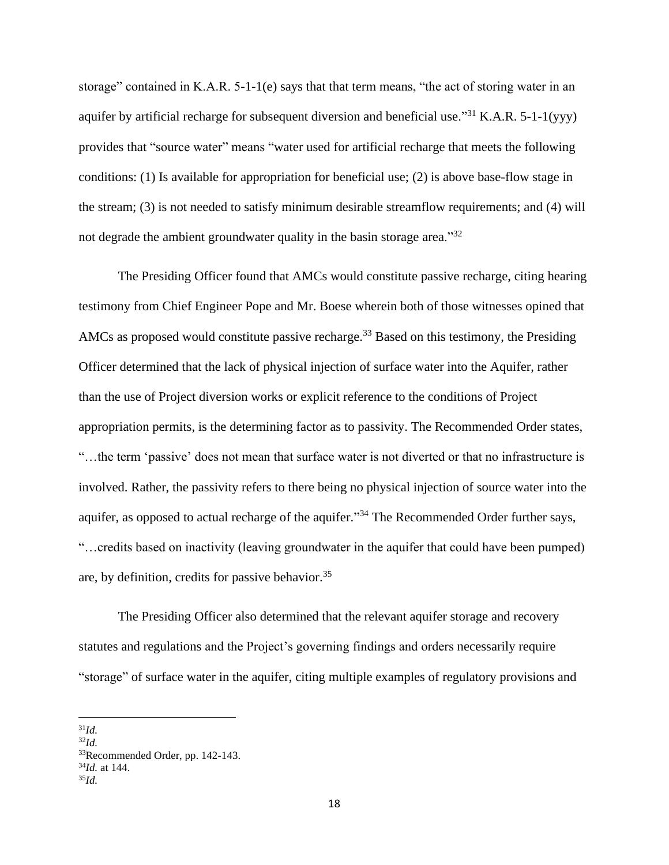storage" contained in K.A.R.  $5-1-1(e)$  says that that term means, "the act of storing water in an aquifer by artificial recharge for subsequent diversion and beneficial use."<sup>31</sup> K.A.R. 5-1-1(yyy) provides that "source water" means "water used for artificial recharge that meets the following conditions: (1) Is available for appropriation for beneficial use; (2) is above base-flow stage in the stream; (3) is not needed to satisfy minimum desirable streamflow requirements; and (4) will not degrade the ambient groundwater quality in the basin storage area."<sup>32</sup>

The Presiding Officer found that AMCs would constitute passive recharge, citing hearing testimony from Chief Engineer Pope and Mr. Boese wherein both of those witnesses opined that AMCs as proposed would constitute passive recharge.<sup>33</sup> Based on this testimony, the Presiding Officer determined that the lack of physical injection of surface water into the Aquifer, rather than the use of Project diversion works or explicit reference to the conditions of Project appropriation permits, is the determining factor as to passivity. The Recommended Order states, "…the term 'passive' does not mean that surface water is not diverted or that no infrastructure is involved. Rather, the passivity refers to there being no physical injection of source water into the aquifer, as opposed to actual recharge of the aquifer."<sup>34</sup> The Recommended Order further says, "…credits based on inactivity (leaving groundwater in the aquifer that could have been pumped) are, by definition, credits for passive behavior.<sup>35</sup>

The Presiding Officer also determined that the relevant aquifer storage and recovery statutes and regulations and the Project's governing findings and orders necessarily require "storage" of surface water in the aquifer, citing multiple examples of regulatory provisions and

<sup>31</sup>*Id.*

<sup>32</sup>*Id.*

<sup>33</sup>Recommended Order, pp. 142-143.

<sup>34</sup>*Id.* at 144.

<sup>35</sup>*Id.*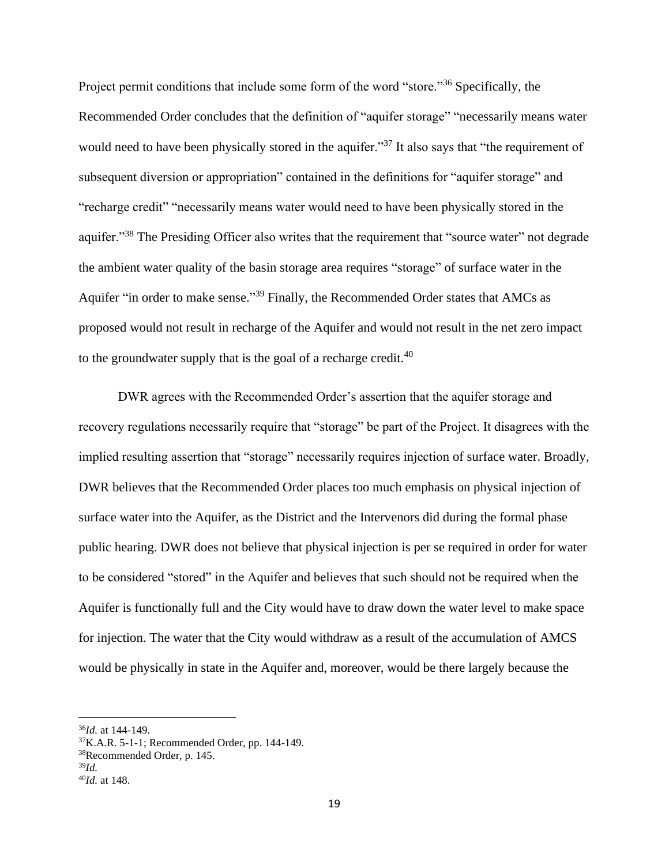Project permit conditions that include some form of the word "store."<sup>36</sup> Specifically, the Recommended Order concludes that the definition of "aquifer storage" "necessarily means water would need to have been physically stored in the aquifer."<sup>37</sup> It also says that "the requirement of subsequent diversion or appropriation" contained in the definitions for "aquifer storage" and "recharge credit" "necessarily means water would need to have been physically stored in the aquifer."<sup>38</sup> The Presiding Officer also writes that the requirement that "source water" not degrade the ambient water quality of the basin storage area requires "storage" of surface water in the Aquifer "in order to make sense."<sup>39</sup> Finally, the Recommended Order states that AMCs as proposed would not result in recharge of the Aquifer and would not result in the net zero impact to the groundwater supply that is the goal of a recharge credit.<sup>40</sup>

DWR agrees with the Recommended Order's assertion that the aquifer storage and recovery regulations necessarily require that "storage" be part of the Project. It disagrees with the implied resulting assertion that "storage" necessarily requires injection of surface water. Broadly, DWR believes that the Recommended Order places too much emphasis on physical injection of surface water into the Aquifer, as the District and the Intervenors did during the formal phase public hearing. DWR does not believe that physical injection is per se required in order for water to be considered "stored" in the Aquifer and believes that such should not be required when the Aquifer is functionally full and the City would have to draw down the water level to make space for injection. The water that the City would withdraw as a result of the accumulation of AMCS would be physically in state in the Aquifer and, moreover, would be there largely because the

<sup>36</sup>*Id.* at 144-149.

 $37K.A.R. 5-1-1$ ; Recommended Order, pp. 144-149.

<sup>38</sup>Recommended Order, p. 145.

<sup>39</sup>*Id.*

<sup>40</sup>*Id.* at 148.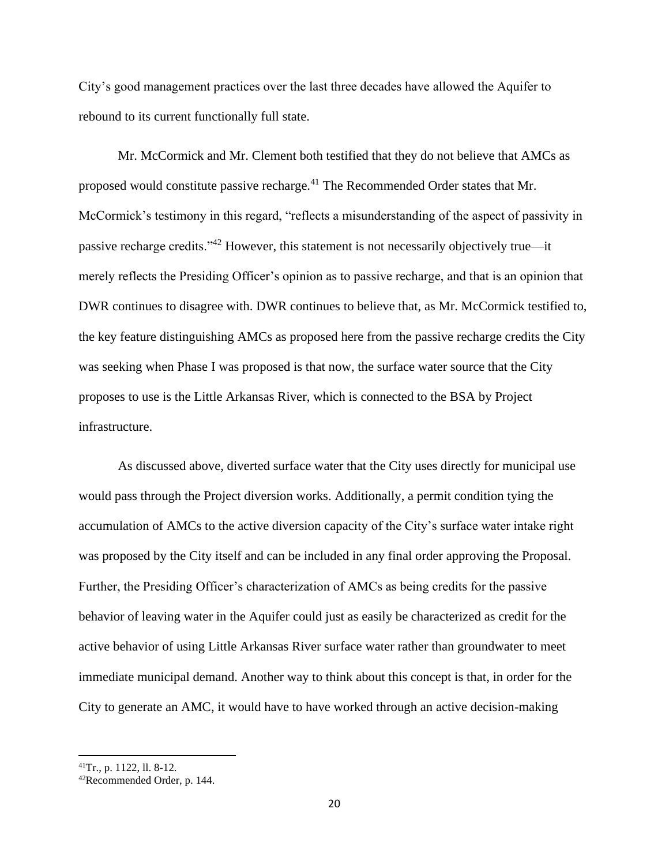City's good management practices over the last three decades have allowed the Aquifer to rebound to its current functionally full state.

Mr. McCormick and Mr. Clement both testified that they do not believe that AMCs as proposed would constitute passive recharge.<sup>41</sup> The Recommended Order states that Mr. McCormick's testimony in this regard, "reflects a misunderstanding of the aspect of passivity in passive recharge credits."<sup>42</sup> However, this statement is not necessarily objectively true—it merely reflects the Presiding Officer's opinion as to passive recharge, and that is an opinion that DWR continues to disagree with. DWR continues to believe that, as Mr. McCormick testified to, the key feature distinguishing AMCs as proposed here from the passive recharge credits the City was seeking when Phase I was proposed is that now, the surface water source that the City proposes to use is the Little Arkansas River, which is connected to the BSA by Project infrastructure.

As discussed above, diverted surface water that the City uses directly for municipal use would pass through the Project diversion works. Additionally, a permit condition tying the accumulation of AMCs to the active diversion capacity of the City's surface water intake right was proposed by the City itself and can be included in any final order approving the Proposal. Further, the Presiding Officer's characterization of AMCs as being credits for the passive behavior of leaving water in the Aquifer could just as easily be characterized as credit for the active behavior of using Little Arkansas River surface water rather than groundwater to meet immediate municipal demand. Another way to think about this concept is that, in order for the City to generate an AMC, it would have to have worked through an active decision-making

<sup>41</sup>Tr., p. 1122, ll. 8-12.

<sup>42</sup>Recommended Order, p. 144.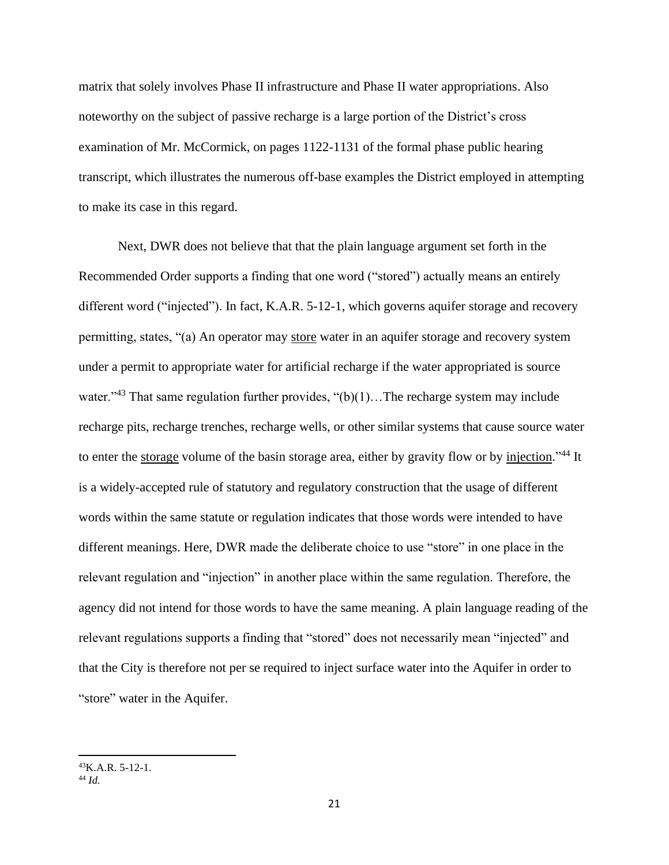matrix that solely involves Phase II infrastructure and Phase II water appropriations. Also noteworthy on the subject of passive recharge is a large portion of the District's cross examination of Mr. McCormick, on pages 1122-1131 of the formal phase public hearing transcript, which illustrates the numerous off-base examples the District employed in attempting to make its case in this regard.

Next, DWR does not believe that that the plain language argument set forth in the Recommended Order supports a finding that one word ("stored") actually means an entirely different word ("injected"). In fact, K.A.R. 5-12-1, which governs aquifer storage and recovery permitting, states, "(a) An operator may store water in an aquifer storage and recovery system under a permit to appropriate water for artificial recharge if the water appropriated is source water."<sup>43</sup> That same regulation further provides, " $(b)(1)$ ... The recharge system may include recharge pits, recharge trenches, recharge wells, or other similar systems that cause source water to enter the storage volume of the basin storage area, either by gravity flow or by injection."<sup>44</sup> It is a widely-accepted rule of statutory and regulatory construction that the usage of different words within the same statute or regulation indicates that those words were intended to have different meanings. Here, DWR made the deliberate choice to use "store" in one place in the relevant regulation and "injection" in another place within the same regulation. Therefore, the agency did not intend for those words to have the same meaning. A plain language reading of the relevant regulations supports a finding that "stored" does not necessarily mean "injected" and that the City is therefore not per se required to inject surface water into the Aquifer in order to "store" water in the Aquifer.

 $A$ <sup>43</sup>K.A.R. 5-12-1.

<sup>44</sup> *Id.*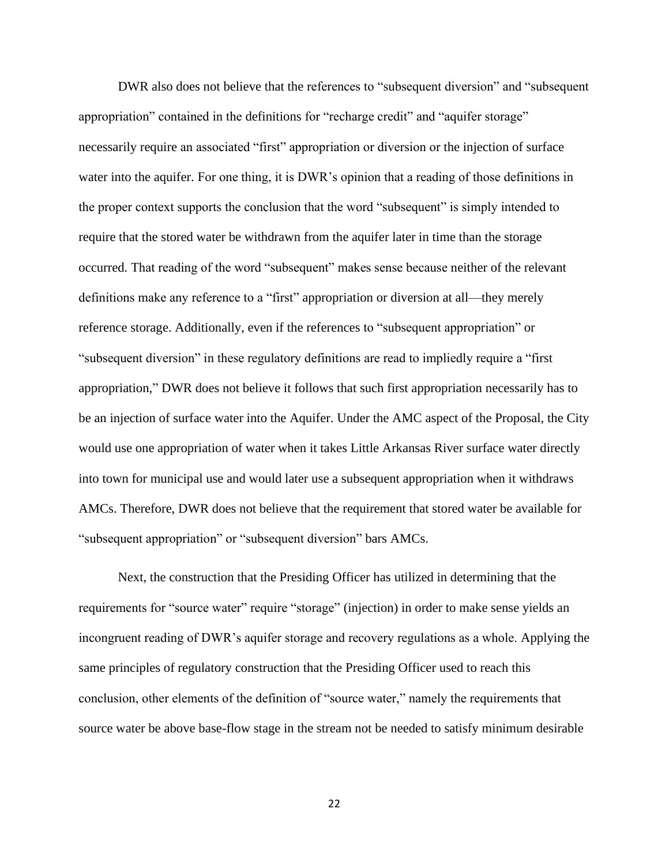DWR also does not believe that the references to "subsequent diversion" and "subsequent appropriation" contained in the definitions for "recharge credit" and "aquifer storage" necessarily require an associated "first" appropriation or diversion or the injection of surface water into the aquifer. For one thing, it is DWR's opinion that a reading of those definitions in the proper context supports the conclusion that the word "subsequent" is simply intended to require that the stored water be withdrawn from the aquifer later in time than the storage occurred. That reading of the word "subsequent" makes sense because neither of the relevant definitions make any reference to a "first" appropriation or diversion at all—they merely reference storage. Additionally, even if the references to "subsequent appropriation" or "subsequent diversion" in these regulatory definitions are read to impliedly require a "first appropriation," DWR does not believe it follows that such first appropriation necessarily has to be an injection of surface water into the Aquifer. Under the AMC aspect of the Proposal, the City would use one appropriation of water when it takes Little Arkansas River surface water directly into town for municipal use and would later use a subsequent appropriation when it withdraws AMCs. Therefore, DWR does not believe that the requirement that stored water be available for "subsequent appropriation" or "subsequent diversion" bars AMCs.

Next, the construction that the Presiding Officer has utilized in determining that the requirements for "source water" require "storage" (injection) in order to make sense yields an incongruent reading of DWR's aquifer storage and recovery regulations as a whole. Applying the same principles of regulatory construction that the Presiding Officer used to reach this conclusion, other elements of the definition of "source water," namely the requirements that source water be above base-flow stage in the stream not be needed to satisfy minimum desirable

22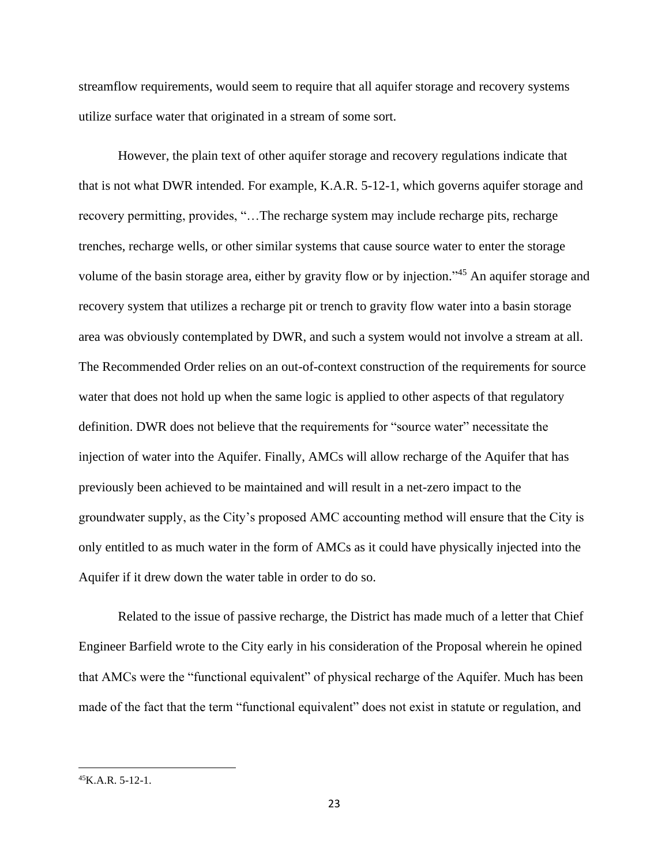streamflow requirements, would seem to require that all aquifer storage and recovery systems utilize surface water that originated in a stream of some sort.

However, the plain text of other aquifer storage and recovery regulations indicate that that is not what DWR intended. For example, K.A.R. 5-12-1, which governs aquifer storage and recovery permitting, provides, "…The recharge system may include recharge pits, recharge trenches, recharge wells, or other similar systems that cause source water to enter the storage volume of the basin storage area, either by gravity flow or by injection."<sup>45</sup> An aquifer storage and recovery system that utilizes a recharge pit or trench to gravity flow water into a basin storage area was obviously contemplated by DWR, and such a system would not involve a stream at all. The Recommended Order relies on an out-of-context construction of the requirements for source water that does not hold up when the same logic is applied to other aspects of that regulatory definition. DWR does not believe that the requirements for "source water" necessitate the injection of water into the Aquifer. Finally, AMCs will allow recharge of the Aquifer that has previously been achieved to be maintained and will result in a net-zero impact to the groundwater supply, as the City's proposed AMC accounting method will ensure that the City is only entitled to as much water in the form of AMCs as it could have physically injected into the Aquifer if it drew down the water table in order to do so.

Related to the issue of passive recharge, the District has made much of a letter that Chief Engineer Barfield wrote to the City early in his consideration of the Proposal wherein he opined that AMCs were the "functional equivalent" of physical recharge of the Aquifer. Much has been made of the fact that the term "functional equivalent" does not exist in statute or regulation, and

 $45K.A.R. 5-12-1.$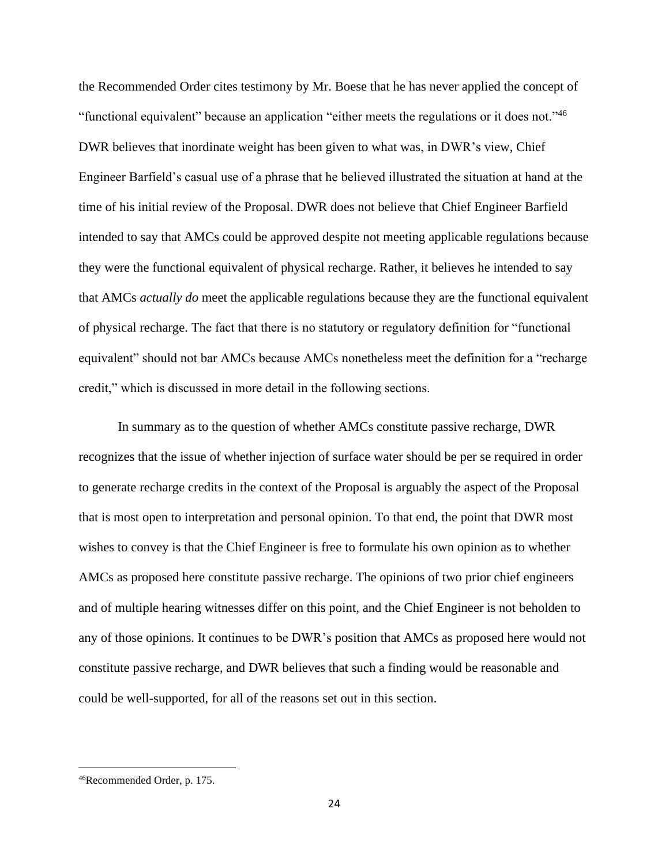the Recommended Order cites testimony by Mr. Boese that he has never applied the concept of "functional equivalent" because an application "either meets the regulations or it does not."<sup>46</sup> DWR believes that inordinate weight has been given to what was, in DWR's view, Chief Engineer Barfield's casual use of a phrase that he believed illustrated the situation at hand at the time of his initial review of the Proposal. DWR does not believe that Chief Engineer Barfield intended to say that AMCs could be approved despite not meeting applicable regulations because they were the functional equivalent of physical recharge. Rather, it believes he intended to say that AMCs *actually do* meet the applicable regulations because they are the functional equivalent of physical recharge. The fact that there is no statutory or regulatory definition for "functional equivalent" should not bar AMCs because AMCs nonetheless meet the definition for a "recharge credit," which is discussed in more detail in the following sections.

In summary as to the question of whether AMCs constitute passive recharge, DWR recognizes that the issue of whether injection of surface water should be per se required in order to generate recharge credits in the context of the Proposal is arguably the aspect of the Proposal that is most open to interpretation and personal opinion. To that end, the point that DWR most wishes to convey is that the Chief Engineer is free to formulate his own opinion as to whether AMCs as proposed here constitute passive recharge. The opinions of two prior chief engineers and of multiple hearing witnesses differ on this point, and the Chief Engineer is not beholden to any of those opinions. It continues to be DWR's position that AMCs as proposed here would not constitute passive recharge, and DWR believes that such a finding would be reasonable and could be well-supported, for all of the reasons set out in this section.

<sup>46</sup>Recommended Order, p. 175.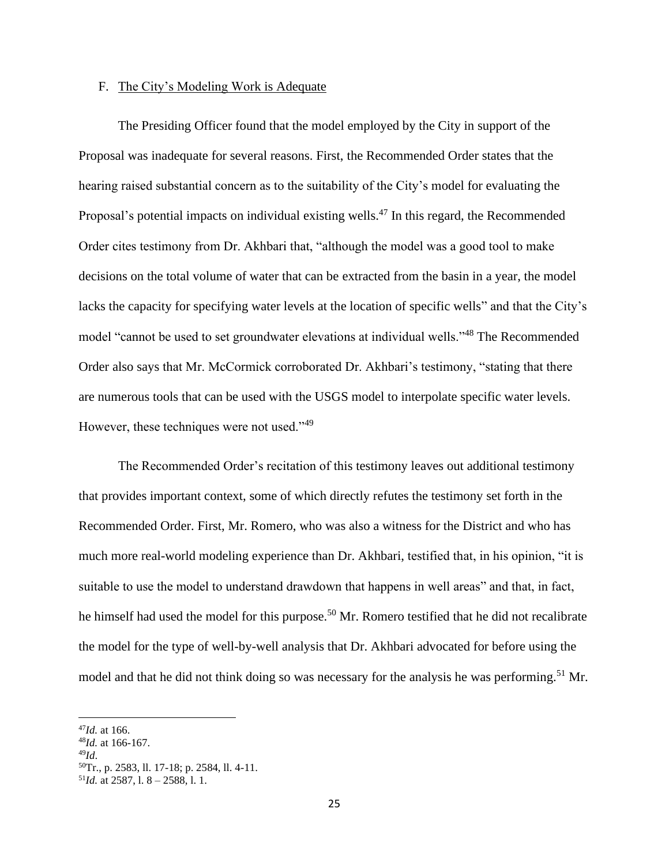### F. The City's Modeling Work is Adequate

The Presiding Officer found that the model employed by the City in support of the Proposal was inadequate for several reasons. First, the Recommended Order states that the hearing raised substantial concern as to the suitability of the City's model for evaluating the Proposal's potential impacts on individual existing wells.<sup>47</sup> In this regard, the Recommended Order cites testimony from Dr. Akhbari that, "although the model was a good tool to make decisions on the total volume of water that can be extracted from the basin in a year, the model lacks the capacity for specifying water levels at the location of specific wells" and that the City's model "cannot be used to set groundwater elevations at individual wells."<sup>48</sup> The Recommended Order also says that Mr. McCormick corroborated Dr. Akhbari's testimony, "stating that there are numerous tools that can be used with the USGS model to interpolate specific water levels. However, these techniques were not used."<sup>49</sup>

The Recommended Order's recitation of this testimony leaves out additional testimony that provides important context, some of which directly refutes the testimony set forth in the Recommended Order. First, Mr. Romero, who was also a witness for the District and who has much more real-world modeling experience than Dr. Akhbari, testified that, in his opinion, "it is suitable to use the model to understand drawdown that happens in well areas" and that, in fact, he himself had used the model for this purpose.<sup>50</sup> Mr. Romero testified that he did not recalibrate the model for the type of well-by-well analysis that Dr. Akhbari advocated for before using the model and that he did not think doing so was necessary for the analysis he was performing.<sup>51</sup> Mr.

<sup>49</sup>*Id*.

<sup>47</sup>*Id.* at 166.

<sup>48</sup>*Id.* at 166-167.

<sup>50</sup>Tr., p. 2583, ll. 17-18; p. 2584, ll. 4-11.

<sup>51</sup>*Id.* at 2587, l. 8 – 2588, l. 1.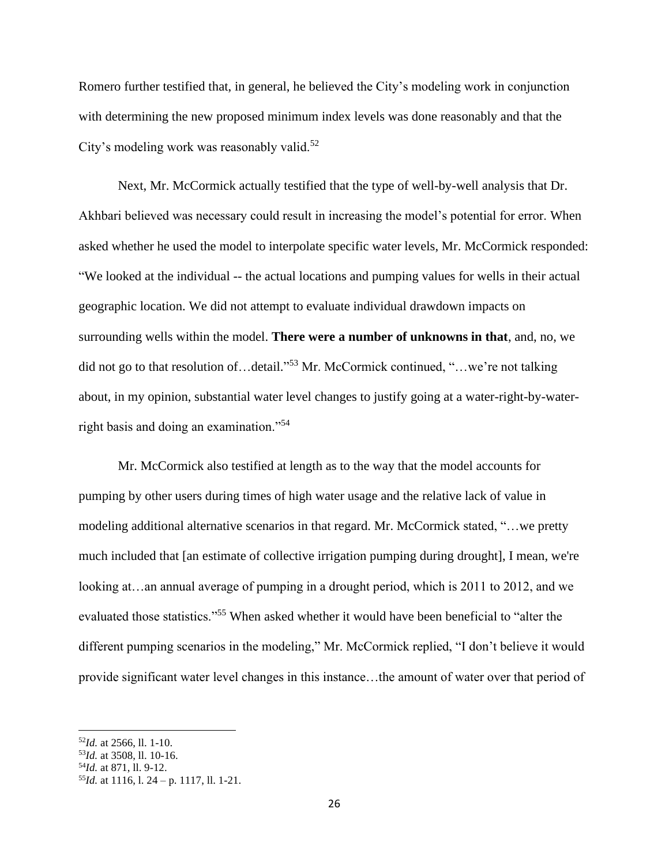Romero further testified that, in general, he believed the City's modeling work in conjunction with determining the new proposed minimum index levels was done reasonably and that the City's modeling work was reasonably valid.<sup>52</sup>

Next, Mr. McCormick actually testified that the type of well-by-well analysis that Dr. Akhbari believed was necessary could result in increasing the model's potential for error. When asked whether he used the model to interpolate specific water levels, Mr. McCormick responded: "We looked at the individual -- the actual locations and pumping values for wells in their actual geographic location. We did not attempt to evaluate individual drawdown impacts on surrounding wells within the model. **There were a number of unknowns in that**, and, no, we did not go to that resolution of...detail."<sup>53</sup> Mr. McCormick continued, "...we're not talking about, in my opinion, substantial water level changes to justify going at a water-right-by-waterright basis and doing an examination."<sup>54</sup>

Mr. McCormick also testified at length as to the way that the model accounts for pumping by other users during times of high water usage and the relative lack of value in modeling additional alternative scenarios in that regard. Mr. McCormick stated, "…we pretty much included that [an estimate of collective irrigation pumping during drought], I mean, we're looking at…an annual average of pumping in a drought period, which is 2011 to 2012, and we evaluated those statistics."<sup>55</sup> When asked whether it would have been beneficial to "alter the different pumping scenarios in the modeling," Mr. McCormick replied, "I don't believe it would provide significant water level changes in this instance…the amount of water over that period of

<sup>54</sup>*Id.* at 871, ll. 9-12.

<sup>52</sup>*Id.* at 2566, ll. 1-10.

<sup>53</sup>*Id.* at 3508, ll. 10-16.

<sup>55</sup>*Id.* at 1116, l. 24 – p. 1117, ll. 1-21.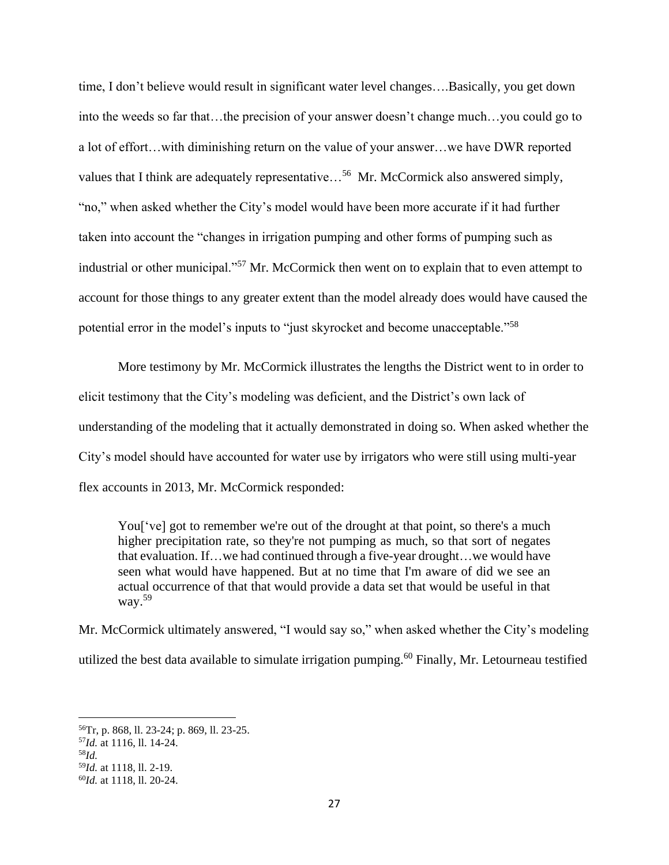time, I don't believe would result in significant water level changes….Basically, you get down into the weeds so far that…the precision of your answer doesn't change much…you could go to a lot of effort…with diminishing return on the value of your answer…we have DWR reported values that I think are adequately representative...<sup>56</sup> Mr. McCormick also answered simply, "no," when asked whether the City's model would have been more accurate if it had further taken into account the "changes in irrigation pumping and other forms of pumping such as industrial or other municipal."<sup>57</sup> Mr. McCormick then went on to explain that to even attempt to account for those things to any greater extent than the model already does would have caused the potential error in the model's inputs to "just skyrocket and become unacceptable."<sup>58</sup>

More testimony by Mr. McCormick illustrates the lengths the District went to in order to elicit testimony that the City's modeling was deficient, and the District's own lack of understanding of the modeling that it actually demonstrated in doing so. When asked whether the City's model should have accounted for water use by irrigators who were still using multi-year flex accounts in 2013, Mr. McCormick responded:

You<sup>['</sup>ve] got to remember we're out of the drought at that point, so there's a much higher precipitation rate, so they're not pumping as much, so that sort of negates that evaluation. If…we had continued through a five-year drought…we would have seen what would have happened. But at no time that I'm aware of did we see an actual occurrence of that that would provide a data set that would be useful in that way. 59

Mr. McCormick ultimately answered, "I would say so," when asked whether the City's modeling utilized the best data available to simulate irrigation pumping.<sup>60</sup> Finally, Mr. Letourneau testified

<sup>56</sup>Tr, p. 868, ll. 23-24; p. 869, ll. 23-25.

<sup>57</sup>*Id.* at 1116, ll. 14-24.

<sup>58</sup>*Id.*

<sup>59</sup>*Id.* at 1118, ll. 2-19.

<sup>60</sup>*Id.* at 1118, ll. 20-24.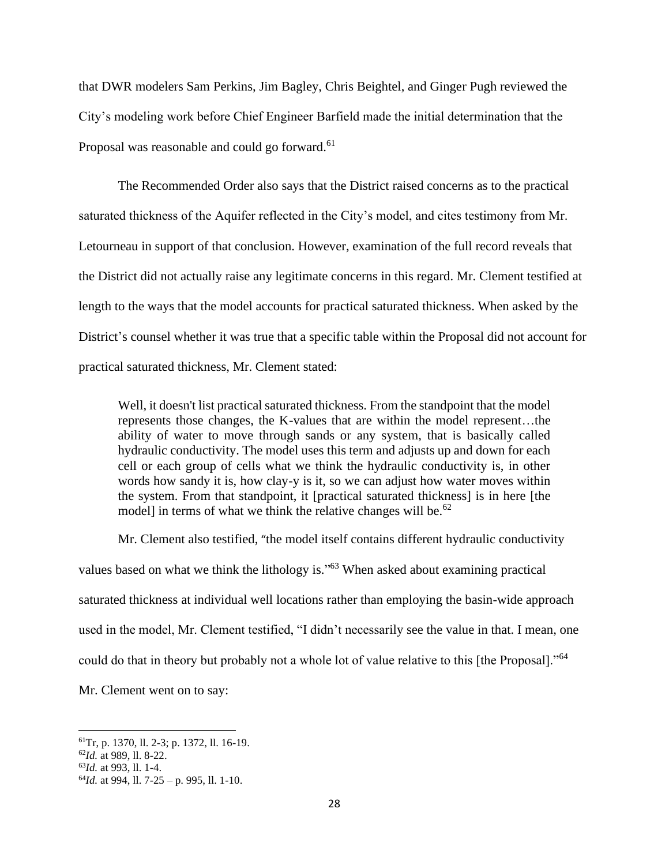that DWR modelers Sam Perkins, Jim Bagley, Chris Beightel, and Ginger Pugh reviewed the City's modeling work before Chief Engineer Barfield made the initial determination that the Proposal was reasonable and could go forward.<sup>61</sup>

The Recommended Order also says that the District raised concerns as to the practical saturated thickness of the Aquifer reflected in the City's model, and cites testimony from Mr. Letourneau in support of that conclusion. However, examination of the full record reveals that the District did not actually raise any legitimate concerns in this regard. Mr. Clement testified at length to the ways that the model accounts for practical saturated thickness. When asked by the District's counsel whether it was true that a specific table within the Proposal did not account for practical saturated thickness, Mr. Clement stated:

Well, it doesn't list practical saturated thickness. From the standpoint that the model represents those changes, the K-values that are within the model represent…the ability of water to move through sands or any system, that is basically called hydraulic conductivity. The model uses this term and adjusts up and down for each cell or each group of cells what we think the hydraulic conductivity is, in other words how sandy it is, how clay-y is it, so we can adjust how water moves within the system. From that standpoint, it [practical saturated thickness] is in here [the model] in terms of what we think the relative changes will be.<sup>62</sup>

Mr. Clement also testified, "the model itself contains different hydraulic conductivity values based on what we think the lithology is."<sup>63</sup> When asked about examining practical saturated thickness at individual well locations rather than employing the basin-wide approach used in the model, Mr. Clement testified, "I didn't necessarily see the value in that. I mean, one could do that in theory but probably not a whole lot of value relative to this [the Proposal]."<sup>64</sup> Mr. Clement went on to say:

<sup>61</sup>Tr, p. 1370, ll. 2-3; p. 1372, ll. 16-19.

<sup>62</sup>*Id.* at 989, ll. 8-22.

<sup>63</sup>*Id.* at 993, ll. 1-4.

<sup>64</sup>*Id.* at 994, ll. 7-25 – p. 995, ll. 1-10.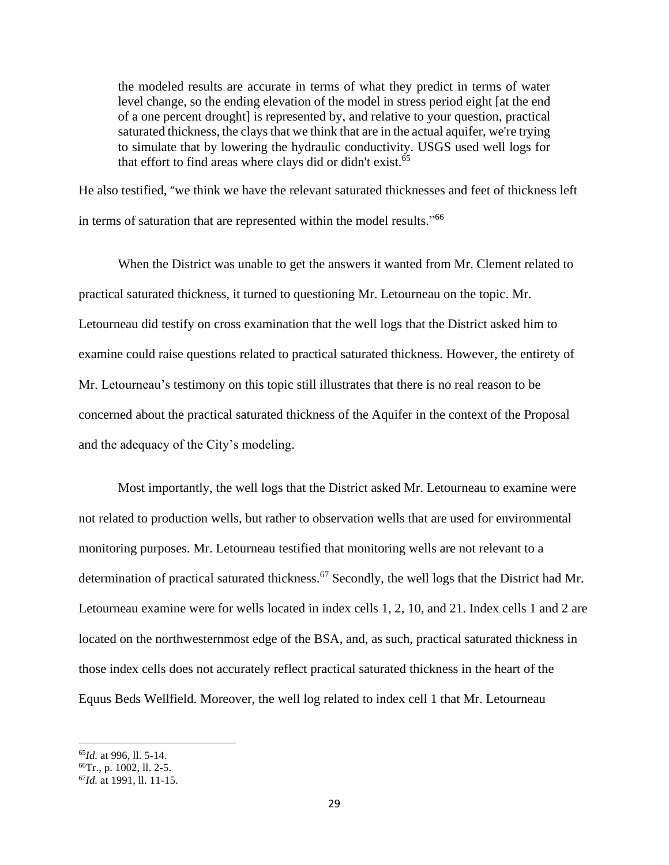the modeled results are accurate in terms of what they predict in terms of water level change, so the ending elevation of the model in stress period eight [at the end of a one percent drought] is represented by, and relative to your question, practical saturated thickness, the clays that we think that are in the actual aquifer, we're trying to simulate that by lowering the hydraulic conductivity. USGS used well logs for that effort to find areas where clays did or didn't exist.<sup>65</sup>

He also testified, "we think we have the relevant saturated thicknesses and feet of thickness left in terms of saturation that are represented within the model results."<sup>66</sup>

When the District was unable to get the answers it wanted from Mr. Clement related to practical saturated thickness, it turned to questioning Mr. Letourneau on the topic. Mr. Letourneau did testify on cross examination that the well logs that the District asked him to examine could raise questions related to practical saturated thickness. However, the entirety of Mr. Letourneau's testimony on this topic still illustrates that there is no real reason to be concerned about the practical saturated thickness of the Aquifer in the context of the Proposal and the adequacy of the City's modeling.

Most importantly, the well logs that the District asked Mr. Letourneau to examine were not related to production wells, but rather to observation wells that are used for environmental monitoring purposes. Mr. Letourneau testified that monitoring wells are not relevant to a determination of practical saturated thickness.<sup>67</sup> Secondly, the well logs that the District had Mr. Letourneau examine were for wells located in index cells 1, 2, 10, and 21. Index cells 1 and 2 are located on the northwesternmost edge of the BSA, and, as such, practical saturated thickness in those index cells does not accurately reflect practical saturated thickness in the heart of the Equus Beds Wellfield. Moreover, the well log related to index cell 1 that Mr. Letourneau

<sup>65</sup>*Id.* at 996, ll. 5-14.

<sup>66</sup>Tr., p. 1002, ll. 2-5.

<sup>67</sup>*Id.* at 1991, ll. 11-15.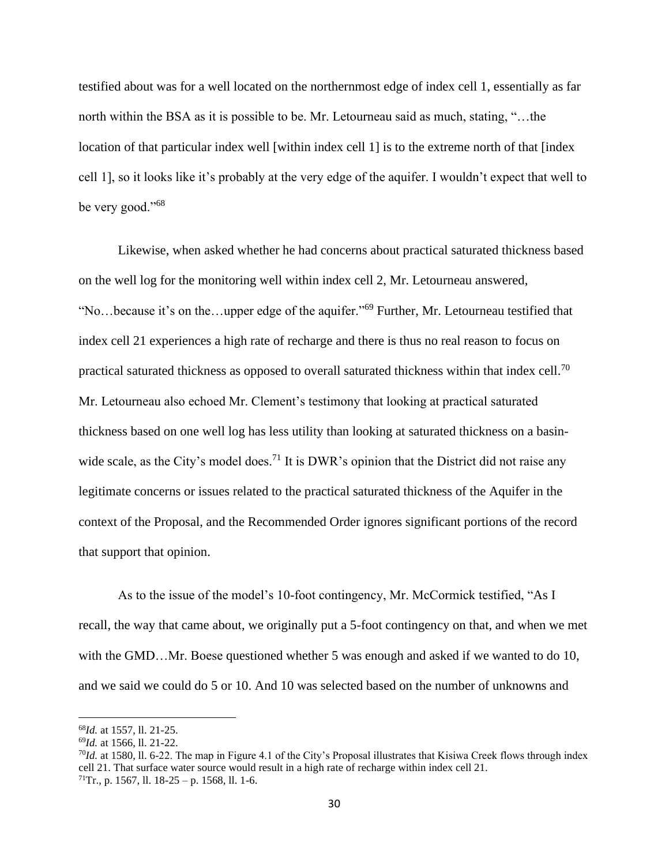testified about was for a well located on the northernmost edge of index cell 1, essentially as far north within the BSA as it is possible to be. Mr. Letourneau said as much, stating, "…the location of that particular index well [within index cell 1] is to the extreme north of that [index cell 1], so it looks like it's probably at the very edge of the aquifer. I wouldn't expect that well to be very good."<sup>68</sup>

Likewise, when asked whether he had concerns about practical saturated thickness based on the well log for the monitoring well within index cell 2, Mr. Letourneau answered, "No…because it's on the…upper edge of the aquifer."<sup>69</sup> Further, Mr. Letourneau testified that index cell 21 experiences a high rate of recharge and there is thus no real reason to focus on practical saturated thickness as opposed to overall saturated thickness within that index cell.<sup>70</sup> Mr. Letourneau also echoed Mr. Clement's testimony that looking at practical saturated thickness based on one well log has less utility than looking at saturated thickness on a basinwide scale, as the City's model does.<sup>71</sup> It is DWR's opinion that the District did not raise any legitimate concerns or issues related to the practical saturated thickness of the Aquifer in the context of the Proposal, and the Recommended Order ignores significant portions of the record that support that opinion.

As to the issue of the model's 10-foot contingency, Mr. McCormick testified, "As I recall, the way that came about, we originally put a 5-foot contingency on that, and when we met with the GMD...Mr. Boese questioned whether 5 was enough and asked if we wanted to do 10, and we said we could do 5 or 10. And 10 was selected based on the number of unknowns and

<sup>68</sup>*Id.* at 1557, ll. 21-25.

<sup>69</sup>*Id.* at 1566, ll. 21-22.

<sup>70</sup>*Id.* at 1580, ll. 6-22. The map in Figure 4.1 of the City's Proposal illustrates that Kisiwa Creek flows through index cell 21. That surface water source would result in a high rate of recharge within index cell 21.  $71$ Tr., p. 1567, ll. 18-25 – p. 1568, ll. 1-6.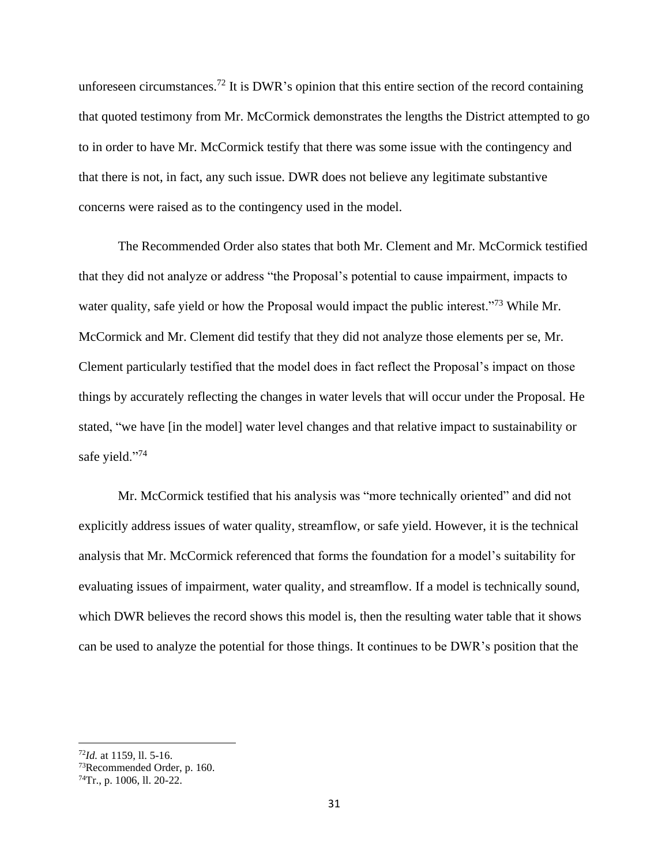unforeseen circumstances.<sup>72</sup> It is DWR's opinion that this entire section of the record containing that quoted testimony from Mr. McCormick demonstrates the lengths the District attempted to go to in order to have Mr. McCormick testify that there was some issue with the contingency and that there is not, in fact, any such issue. DWR does not believe any legitimate substantive concerns were raised as to the contingency used in the model.

The Recommended Order also states that both Mr. Clement and Mr. McCormick testified that they did not analyze or address "the Proposal's potential to cause impairment, impacts to water quality, safe yield or how the Proposal would impact the public interest."<sup>73</sup> While Mr. McCormick and Mr. Clement did testify that they did not analyze those elements per se, Mr. Clement particularly testified that the model does in fact reflect the Proposal's impact on those things by accurately reflecting the changes in water levels that will occur under the Proposal. He stated, "we have [in the model] water level changes and that relative impact to sustainability or safe yield."<sup>74</sup>

Mr. McCormick testified that his analysis was "more technically oriented" and did not explicitly address issues of water quality, streamflow, or safe yield. However, it is the technical analysis that Mr. McCormick referenced that forms the foundation for a model's suitability for evaluating issues of impairment, water quality, and streamflow. If a model is technically sound, which DWR believes the record shows this model is, then the resulting water table that it shows can be used to analyze the potential for those things. It continues to be DWR's position that the

<sup>72</sup>*Id.* at 1159, ll. 5-16.

<sup>73</sup>Recommended Order, p. 160.

 $74$ Tr., p. 1006, ll. 20-22.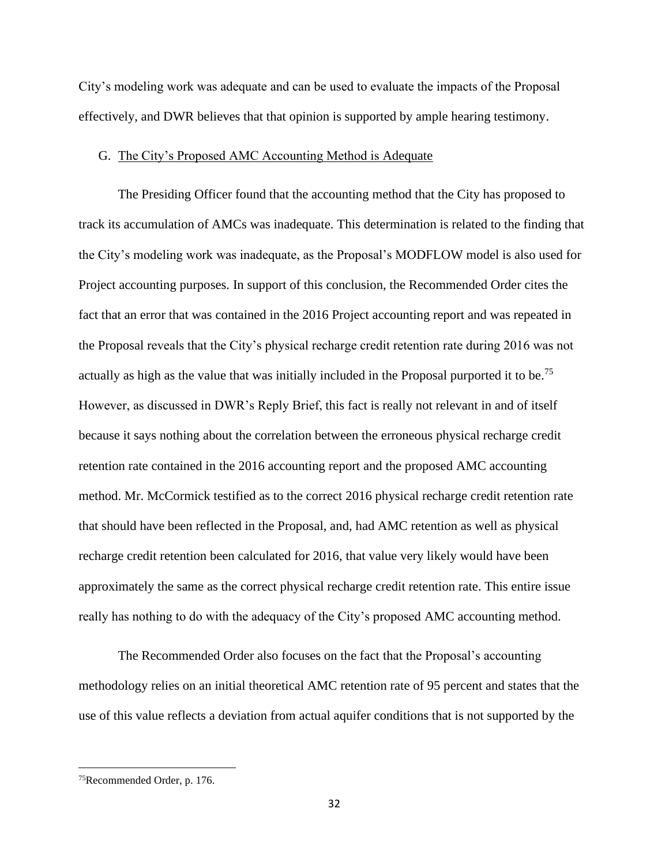City's modeling work was adequate and can be used to evaluate the impacts of the Proposal effectively, and DWR believes that that opinion is supported by ample hearing testimony.

### G. The City's Proposed AMC Accounting Method is Adequate

The Presiding Officer found that the accounting method that the City has proposed to track its accumulation of AMCs was inadequate. This determination is related to the finding that the City's modeling work was inadequate, as the Proposal's MODFLOW model is also used for Project accounting purposes. In support of this conclusion, the Recommended Order cites the fact that an error that was contained in the 2016 Project accounting report and was repeated in the Proposal reveals that the City's physical recharge credit retention rate during 2016 was not actually as high as the value that was initially included in the Proposal purported it to be.<sup>75</sup> However, as discussed in DWR's Reply Brief, this fact is really not relevant in and of itself because it says nothing about the correlation between the erroneous physical recharge credit retention rate contained in the 2016 accounting report and the proposed AMC accounting method. Mr. McCormick testified as to the correct 2016 physical recharge credit retention rate that should have been reflected in the Proposal, and, had AMC retention as well as physical recharge credit retention been calculated for 2016, that value very likely would have been approximately the same as the correct physical recharge credit retention rate. This entire issue really has nothing to do with the adequacy of the City's proposed AMC accounting method.

The Recommended Order also focuses on the fact that the Proposal's accounting methodology relies on an initial theoretical AMC retention rate of 95 percent and states that the use of this value reflects a deviation from actual aquifer conditions that is not supported by the

<sup>75</sup>Recommended Order, p. 176.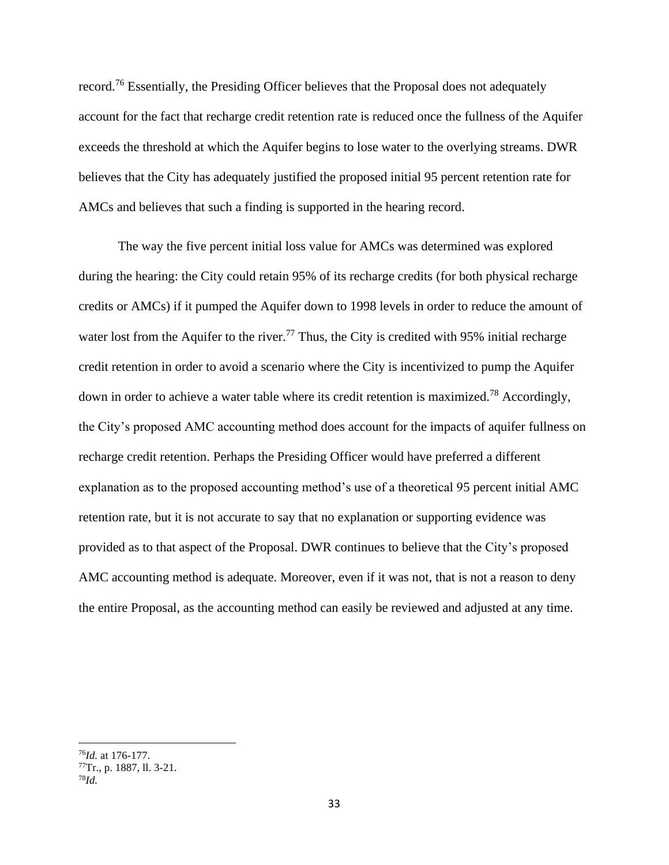record.<sup>76</sup> Essentially, the Presiding Officer believes that the Proposal does not adequately account for the fact that recharge credit retention rate is reduced once the fullness of the Aquifer exceeds the threshold at which the Aquifer begins to lose water to the overlying streams. DWR believes that the City has adequately justified the proposed initial 95 percent retention rate for AMCs and believes that such a finding is supported in the hearing record.

The way the five percent initial loss value for AMCs was determined was explored during the hearing: the City could retain 95% of its recharge credits (for both physical recharge credits or AMCs) if it pumped the Aquifer down to 1998 levels in order to reduce the amount of water lost from the Aquifer to the river.<sup>77</sup> Thus, the City is credited with 95% initial recharge credit retention in order to avoid a scenario where the City is incentivized to pump the Aquifer down in order to achieve a water table where its credit retention is maximized.<sup>78</sup> Accordingly, the City's proposed AMC accounting method does account for the impacts of aquifer fullness on recharge credit retention. Perhaps the Presiding Officer would have preferred a different explanation as to the proposed accounting method's use of a theoretical 95 percent initial AMC retention rate, but it is not accurate to say that no explanation or supporting evidence was provided as to that aspect of the Proposal. DWR continues to believe that the City's proposed AMC accounting method is adequate. Moreover, even if it was not, that is not a reason to deny the entire Proposal, as the accounting method can easily be reviewed and adjusted at any time.

<sup>76</sup>*Id.* at 176-177.

 $77$ Tr., p. 1887, ll. 3-21. 78*Id.*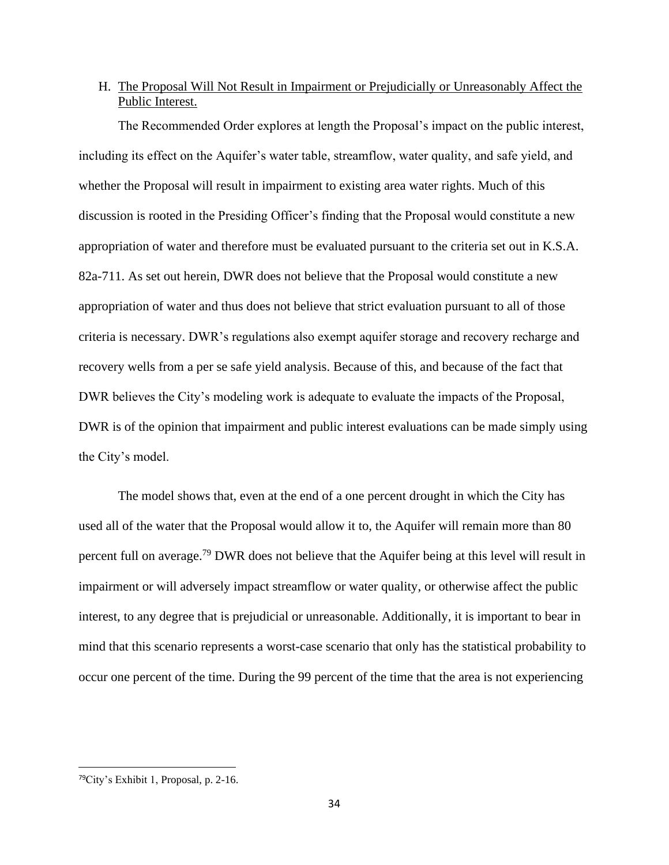# H. The Proposal Will Not Result in Impairment or Prejudicially or Unreasonably Affect the Public Interest.

The Recommended Order explores at length the Proposal's impact on the public interest, including its effect on the Aquifer's water table, streamflow, water quality, and safe yield, and whether the Proposal will result in impairment to existing area water rights. Much of this discussion is rooted in the Presiding Officer's finding that the Proposal would constitute a new appropriation of water and therefore must be evaluated pursuant to the criteria set out in K.S.A. 82a-711. As set out herein, DWR does not believe that the Proposal would constitute a new appropriation of water and thus does not believe that strict evaluation pursuant to all of those criteria is necessary. DWR's regulations also exempt aquifer storage and recovery recharge and recovery wells from a per se safe yield analysis. Because of this, and because of the fact that DWR believes the City's modeling work is adequate to evaluate the impacts of the Proposal, DWR is of the opinion that impairment and public interest evaluations can be made simply using the City's model.

The model shows that, even at the end of a one percent drought in which the City has used all of the water that the Proposal would allow it to, the Aquifer will remain more than 80 percent full on average.<sup>79</sup> DWR does not believe that the Aquifer being at this level will result in impairment or will adversely impact streamflow or water quality, or otherwise affect the public interest, to any degree that is prejudicial or unreasonable. Additionally, it is important to bear in mind that this scenario represents a worst-case scenario that only has the statistical probability to occur one percent of the time. During the 99 percent of the time that the area is not experiencing

<sup>79</sup>City's Exhibit 1, Proposal, p. 2-16.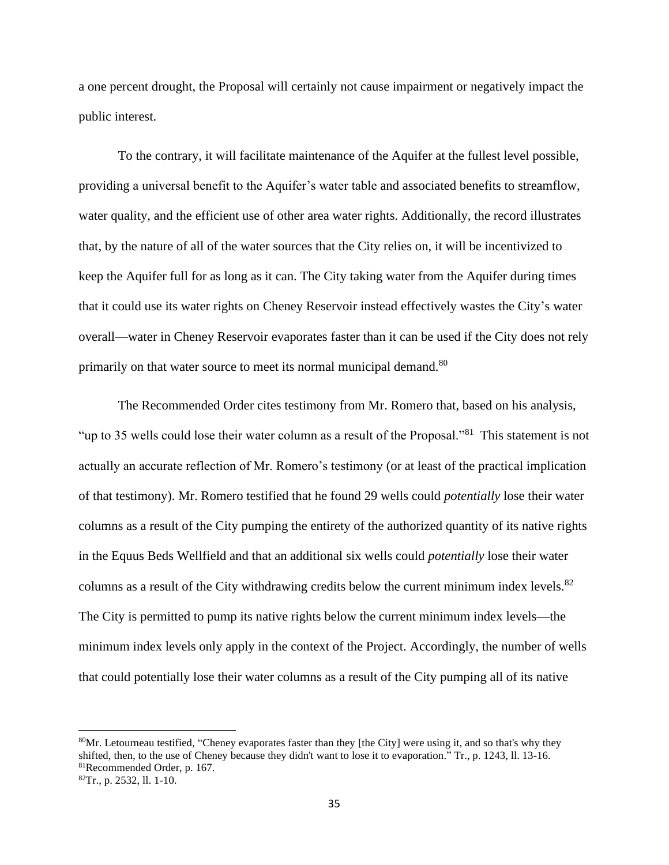a one percent drought, the Proposal will certainly not cause impairment or negatively impact the public interest.

To the contrary, it will facilitate maintenance of the Aquifer at the fullest level possible, providing a universal benefit to the Aquifer's water table and associated benefits to streamflow, water quality, and the efficient use of other area water rights. Additionally, the record illustrates that, by the nature of all of the water sources that the City relies on, it will be incentivized to keep the Aquifer full for as long as it can. The City taking water from the Aquifer during times that it could use its water rights on Cheney Reservoir instead effectively wastes the City's water overall—water in Cheney Reservoir evaporates faster than it can be used if the City does not rely primarily on that water source to meet its normal municipal demand.<sup>80</sup>

The Recommended Order cites testimony from Mr. Romero that, based on his analysis, "up to 35 wells could lose their water column as a result of the Proposal."<sup>81</sup> This statement is not actually an accurate reflection of Mr. Romero's testimony (or at least of the practical implication of that testimony). Mr. Romero testified that he found 29 wells could *potentially* lose their water columns as a result of the City pumping the entirety of the authorized quantity of its native rights in the Equus Beds Wellfield and that an additional six wells could *potentially* lose their water columns as a result of the City withdrawing credits below the current minimum index levels.<sup>82</sup> The City is permitted to pump its native rights below the current minimum index levels—the minimum index levels only apply in the context of the Project. Accordingly, the number of wells that could potentially lose their water columns as a result of the City pumping all of its native

 $80$ Mr. Letourneau testified, "Cheney evaporates faster than they [the City] were using it, and so that's why they shifted, then, to the use of Cheney because they didn't want to lose it to evaporation." Tr., p. 1243, ll. 13-16. <sup>81</sup>Recommended Order, p. 167.

<sup>82</sup>Tr., p. 2532, ll. 1-10.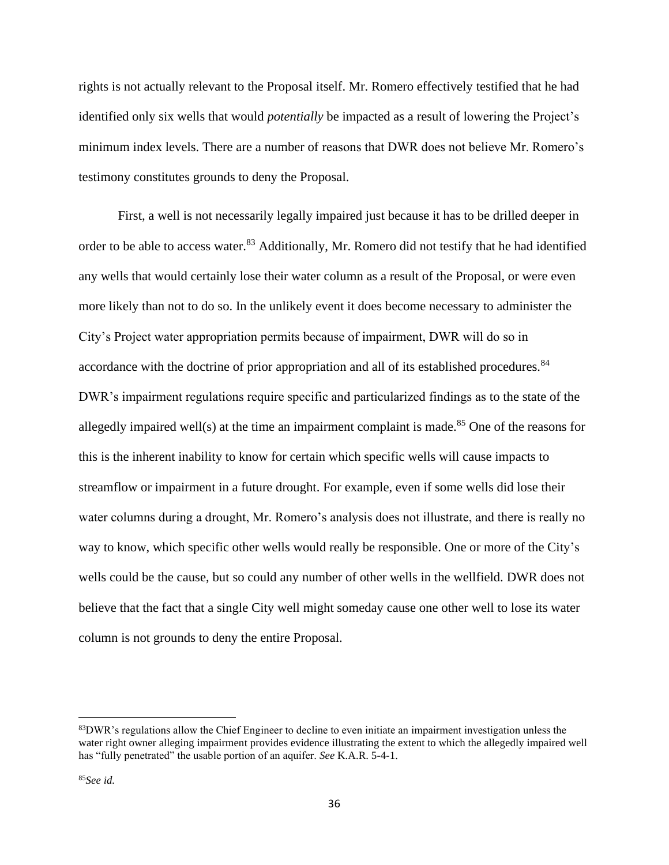rights is not actually relevant to the Proposal itself. Mr. Romero effectively testified that he had identified only six wells that would *potentially* be impacted as a result of lowering the Project's minimum index levels. There are a number of reasons that DWR does not believe Mr. Romero's testimony constitutes grounds to deny the Proposal.

First, a well is not necessarily legally impaired just because it has to be drilled deeper in order to be able to access water.<sup>83</sup> Additionally, Mr. Romero did not testify that he had identified any wells that would certainly lose their water column as a result of the Proposal, or were even more likely than not to do so. In the unlikely event it does become necessary to administer the City's Project water appropriation permits because of impairment, DWR will do so in accordance with the doctrine of prior appropriation and all of its established procedures.<sup>84</sup> DWR's impairment regulations require specific and particularized findings as to the state of the allegedly impaired well(s) at the time an impairment complaint is made.<sup>85</sup> One of the reasons for this is the inherent inability to know for certain which specific wells will cause impacts to streamflow or impairment in a future drought. For example, even if some wells did lose their water columns during a drought, Mr. Romero's analysis does not illustrate, and there is really no way to know, which specific other wells would really be responsible. One or more of the City's wells could be the cause, but so could any number of other wells in the wellfield. DWR does not believe that the fact that a single City well might someday cause one other well to lose its water column is not grounds to deny the entire Proposal.

<sup>83</sup>DWR's regulations allow the Chief Engineer to decline to even initiate an impairment investigation unless the water right owner alleging impairment provides evidence illustrating the extent to which the allegedly impaired well has "fully penetrated" the usable portion of an aquifer. *See* K.A.R. 5-4-1.

<sup>85</sup>*See id.*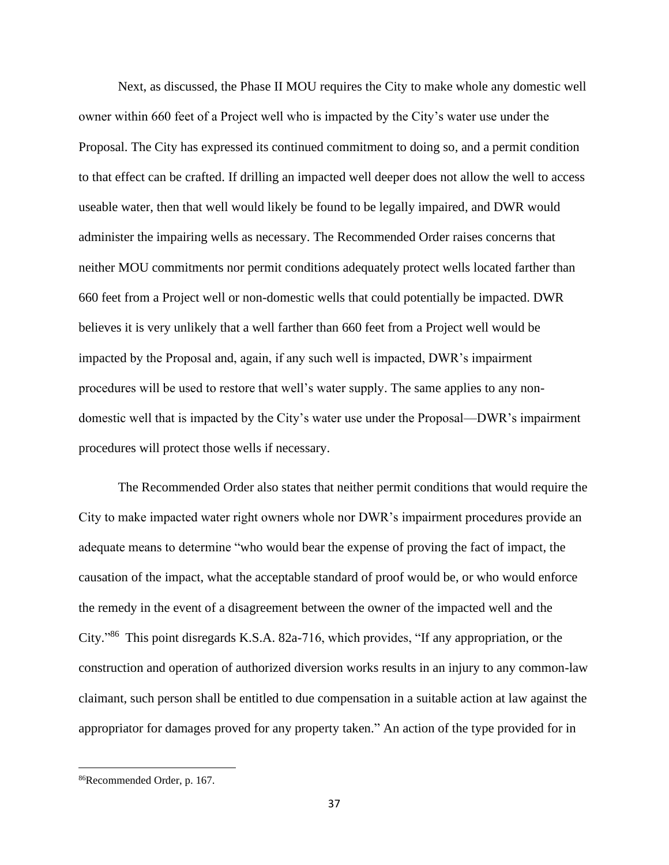Next, as discussed, the Phase II MOU requires the City to make whole any domestic well owner within 660 feet of a Project well who is impacted by the City's water use under the Proposal. The City has expressed its continued commitment to doing so, and a permit condition to that effect can be crafted. If drilling an impacted well deeper does not allow the well to access useable water, then that well would likely be found to be legally impaired, and DWR would administer the impairing wells as necessary. The Recommended Order raises concerns that neither MOU commitments nor permit conditions adequately protect wells located farther than 660 feet from a Project well or non-domestic wells that could potentially be impacted. DWR believes it is very unlikely that a well farther than 660 feet from a Project well would be impacted by the Proposal and, again, if any such well is impacted, DWR's impairment procedures will be used to restore that well's water supply. The same applies to any nondomestic well that is impacted by the City's water use under the Proposal—DWR's impairment procedures will protect those wells if necessary.

The Recommended Order also states that neither permit conditions that would require the City to make impacted water right owners whole nor DWR's impairment procedures provide an adequate means to determine "who would bear the expense of proving the fact of impact, the causation of the impact, what the acceptable standard of proof would be, or who would enforce the remedy in the event of a disagreement between the owner of the impacted well and the City."<sup>86</sup> This point disregards K.S.A. 82a-716, which provides, "If any appropriation, or the construction and operation of authorized diversion works results in an injury to any common-law claimant, such person shall be entitled to due compensation in a suitable action at law against the appropriator for damages proved for any property taken." An action of the type provided for in

<sup>86</sup>Recommended Order, p. 167.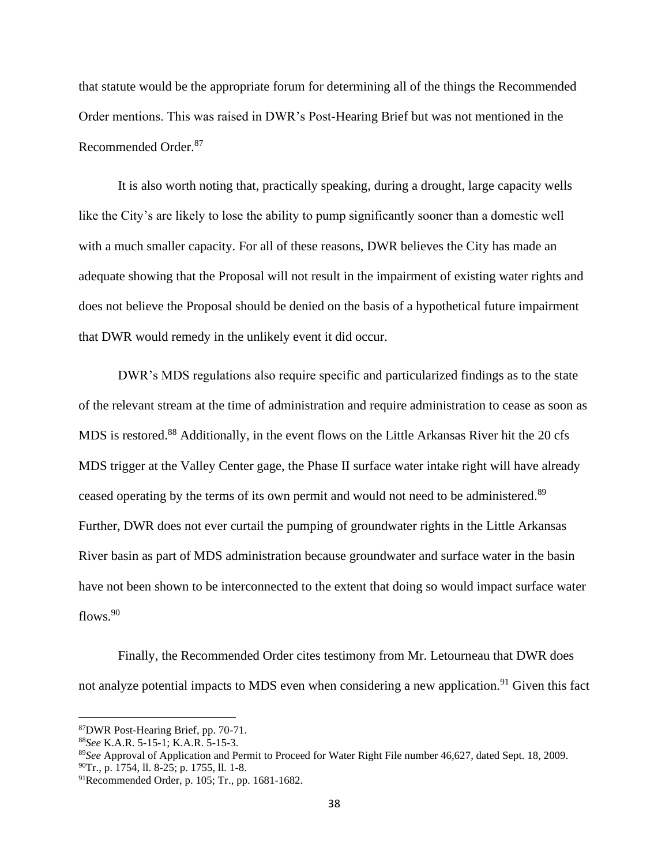that statute would be the appropriate forum for determining all of the things the Recommended Order mentions. This was raised in DWR's Post-Hearing Brief but was not mentioned in the Recommended Order.<sup>87</sup>

It is also worth noting that, practically speaking, during a drought, large capacity wells like the City's are likely to lose the ability to pump significantly sooner than a domestic well with a much smaller capacity. For all of these reasons, DWR believes the City has made an adequate showing that the Proposal will not result in the impairment of existing water rights and does not believe the Proposal should be denied on the basis of a hypothetical future impairment that DWR would remedy in the unlikely event it did occur.

DWR's MDS regulations also require specific and particularized findings as to the state of the relevant stream at the time of administration and require administration to cease as soon as MDS is restored.<sup>88</sup> Additionally, in the event flows on the Little Arkansas River hit the 20 cfs MDS trigger at the Valley Center gage, the Phase II surface water intake right will have already ceased operating by the terms of its own permit and would not need to be administered.<sup>89</sup> Further, DWR does not ever curtail the pumping of groundwater rights in the Little Arkansas River basin as part of MDS administration because groundwater and surface water in the basin have not been shown to be interconnected to the extent that doing so would impact surface water flows.<sup>90</sup>

Finally, the Recommended Order cites testimony from Mr. Letourneau that DWR does not analyze potential impacts to MDS even when considering a new application.<sup>91</sup> Given this fact

<sup>87</sup>DWR Post-Hearing Brief, pp. 70-71.

<sup>88</sup>*See* K.A.R. 5-15-1; K.A.R. 5-15-3.

<sup>89</sup>*See* Approval of Application and Permit to Proceed for Water Right File number 46,627, dated Sept. 18, 2009. <sup>90</sup>Tr., p. 1754, ll. 8-25; p. 1755, ll. 1-8.

<sup>91</sup>Recommended Order, p. 105; Tr., pp. 1681-1682.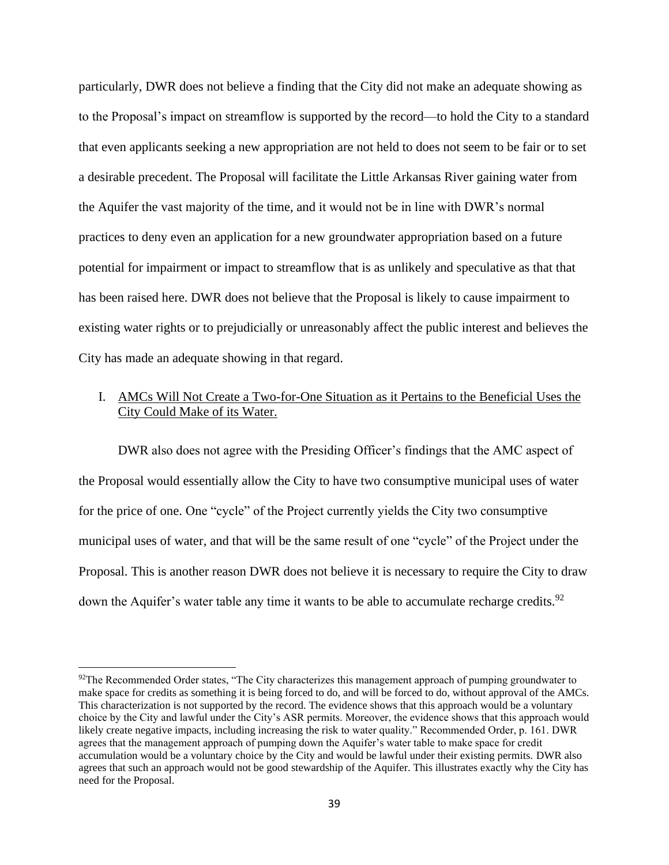particularly, DWR does not believe a finding that the City did not make an adequate showing as to the Proposal's impact on streamflow is supported by the record—to hold the City to a standard that even applicants seeking a new appropriation are not held to does not seem to be fair or to set a desirable precedent. The Proposal will facilitate the Little Arkansas River gaining water from the Aquifer the vast majority of the time, and it would not be in line with DWR's normal practices to deny even an application for a new groundwater appropriation based on a future potential for impairment or impact to streamflow that is as unlikely and speculative as that that has been raised here. DWR does not believe that the Proposal is likely to cause impairment to existing water rights or to prejudicially or unreasonably affect the public interest and believes the City has made an adequate showing in that regard.

# I. AMCs Will Not Create a Two-for-One Situation as it Pertains to the Beneficial Uses the City Could Make of its Water.

DWR also does not agree with the Presiding Officer's findings that the AMC aspect of the Proposal would essentially allow the City to have two consumptive municipal uses of water for the price of one. One "cycle" of the Project currently yields the City two consumptive municipal uses of water, and that will be the same result of one "cycle" of the Project under the Proposal. This is another reason DWR does not believe it is necessary to require the City to draw down the Aquifer's water table any time it wants to be able to accumulate recharge credits.<sup>92</sup>

<sup>&</sup>lt;sup>92</sup>The Recommended Order states, "The City characterizes this management approach of pumping groundwater to make space for credits as something it is being forced to do, and will be forced to do, without approval of the AMCs. This characterization is not supported by the record. The evidence shows that this approach would be a voluntary choice by the City and lawful under the City's ASR permits. Moreover, the evidence shows that this approach would likely create negative impacts, including increasing the risk to water quality." Recommended Order, p. 161. DWR agrees that the management approach of pumping down the Aquifer's water table to make space for credit accumulation would be a voluntary choice by the City and would be lawful under their existing permits. DWR also agrees that such an approach would not be good stewardship of the Aquifer. This illustrates exactly why the City has need for the Proposal.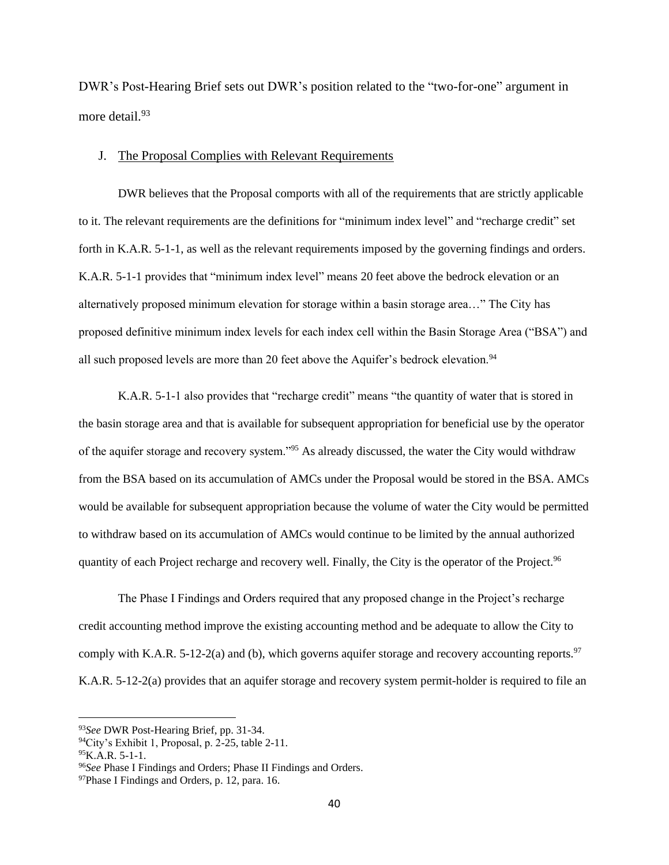DWR's Post-Hearing Brief sets out DWR's position related to the "two-for-one" argument in more detail.<sup>93</sup>

### J. The Proposal Complies with Relevant Requirements

DWR believes that the Proposal comports with all of the requirements that are strictly applicable to it. The relevant requirements are the definitions for "minimum index level" and "recharge credit" set forth in K.A.R. 5-1-1, as well as the relevant requirements imposed by the governing findings and orders. K.A.R. 5-1-1 provides that "minimum index level" means 20 feet above the bedrock elevation or an alternatively proposed minimum elevation for storage within a basin storage area…" The City has proposed definitive minimum index levels for each index cell within the Basin Storage Area ("BSA") and all such proposed levels are more than 20 feet above the Aquifer's bedrock elevation.<sup>94</sup>

K.A.R. 5-1-1 also provides that "recharge credit" means "the quantity of water that is stored in the basin storage area and that is available for subsequent appropriation for beneficial use by the operator of the aquifer storage and recovery system."<sup>95</sup> As already discussed, the water the City would withdraw from the BSA based on its accumulation of AMCs under the Proposal would be stored in the BSA. AMCs would be available for subsequent appropriation because the volume of water the City would be permitted to withdraw based on its accumulation of AMCs would continue to be limited by the annual authorized quantity of each Project recharge and recovery well. Finally, the City is the operator of the Project.<sup>96</sup>

The Phase I Findings and Orders required that any proposed change in the Project's recharge credit accounting method improve the existing accounting method and be adequate to allow the City to comply with K.A.R. 5-12-2(a) and (b), which governs aquifer storage and recovery accounting reports.<sup>97</sup> K.A.R. 5-12-2(a) provides that an aquifer storage and recovery system permit-holder is required to file an

<sup>93</sup>*See* DWR Post-Hearing Brief, pp. 31-34.

 $^{94}$ City's Exhibit 1, Proposal, p. 2-25, table 2-11.

 $^{95}$ K.A.R. 5-1-1.

<sup>96</sup>*See* Phase I Findings and Orders; Phase II Findings and Orders.

<sup>97</sup>Phase I Findings and Orders, p. 12, para. 16.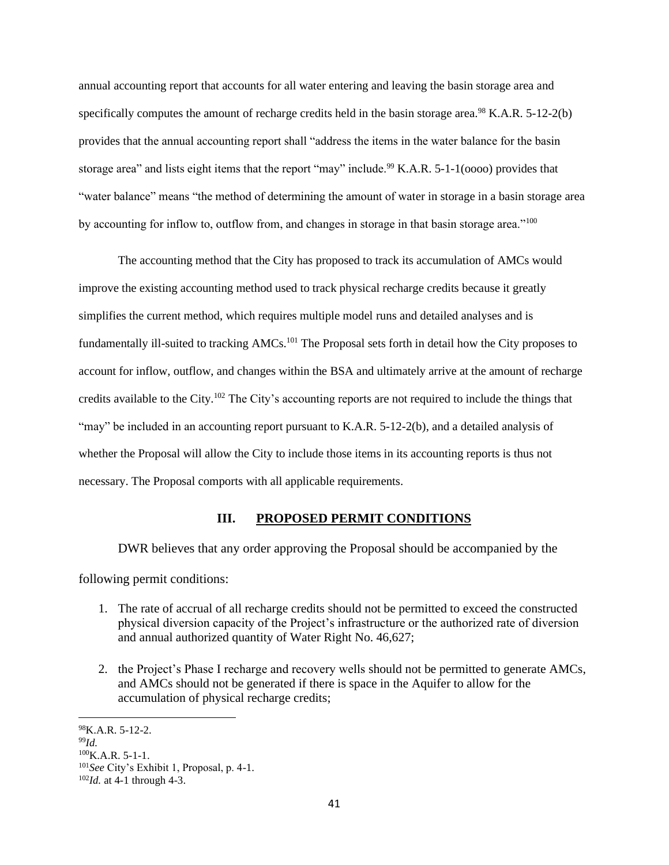annual accounting report that accounts for all water entering and leaving the basin storage area and specifically computes the amount of recharge credits held in the basin storage area.<sup>98</sup> K.A.R. 5-12-2(b) provides that the annual accounting report shall "address the items in the water balance for the basin storage area" and lists eight items that the report "may" include.<sup>99</sup> K.A.R. 5-1-1( $0000$ ) provides that "water balance" means "the method of determining the amount of water in storage in a basin storage area by accounting for inflow to, outflow from, and changes in storage in that basin storage area."<sup>100</sup>

The accounting method that the City has proposed to track its accumulation of AMCs would improve the existing accounting method used to track physical recharge credits because it greatly simplifies the current method, which requires multiple model runs and detailed analyses and is fundamentally ill-suited to tracking AMCs.<sup>101</sup> The Proposal sets forth in detail how the City proposes to account for inflow, outflow, and changes within the BSA and ultimately arrive at the amount of recharge credits available to the City.<sup>102</sup> The City's accounting reports are not required to include the things that "may" be included in an accounting report pursuant to K.A.R. 5-12-2(b), and a detailed analysis of whether the Proposal will allow the City to include those items in its accounting reports is thus not necessary. The Proposal comports with all applicable requirements.

### **III. PROPOSED PERMIT CONDITIONS**

DWR believes that any order approving the Proposal should be accompanied by the

following permit conditions:

- 1. The rate of accrual of all recharge credits should not be permitted to exceed the constructed physical diversion capacity of the Project's infrastructure or the authorized rate of diversion and annual authorized quantity of Water Right No. 46,627;
- 2. the Project's Phase I recharge and recovery wells should not be permitted to generate AMCs, and AMCs should not be generated if there is space in the Aquifer to allow for the accumulation of physical recharge credits;

 $^{98}$ K.A.R. 5-12-2.

<sup>99</sup>*Id.*

 $100K.A.R. 5-1-1.$ 

<sup>101</sup>*See* City's Exhibit 1, Proposal, p. 4-1.

<sup>102</sup>*Id.* at 4-1 through 4-3.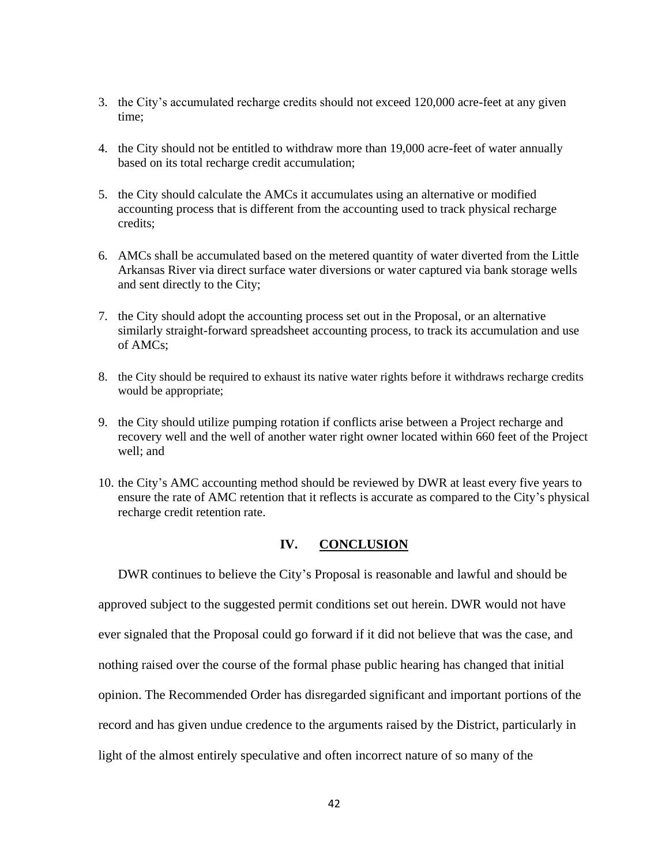- 3. the City's accumulated recharge credits should not exceed 120,000 acre-feet at any given time;
- 4. the City should not be entitled to withdraw more than 19,000 acre-feet of water annually based on its total recharge credit accumulation;
- 5. the City should calculate the AMCs it accumulates using an alternative or modified accounting process that is different from the accounting used to track physical recharge credits;
- 6. AMCs shall be accumulated based on the metered quantity of water diverted from the Little Arkansas River via direct surface water diversions or water captured via bank storage wells and sent directly to the City;
- 7. the City should adopt the accounting process set out in the Proposal, or an alternative similarly straight-forward spreadsheet accounting process, to track its accumulation and use of AMCs;
- 8. the City should be required to exhaust its native water rights before it withdraws recharge credits would be appropriate;
- 9. the City should utilize pumping rotation if conflicts arise between a Project recharge and recovery well and the well of another water right owner located within 660 feet of the Project well; and
- 10. the City's AMC accounting method should be reviewed by DWR at least every five years to ensure the rate of AMC retention that it reflects is accurate as compared to the City's physical recharge credit retention rate.

### **IV. CONCLUSION**

DWR continues to believe the City's Proposal is reasonable and lawful and should be approved subject to the suggested permit conditions set out herein. DWR would not have ever signaled that the Proposal could go forward if it did not believe that was the case, and nothing raised over the course of the formal phase public hearing has changed that initial opinion. The Recommended Order has disregarded significant and important portions of the record and has given undue credence to the arguments raised by the District, particularly in light of the almost entirely speculative and often incorrect nature of so many of the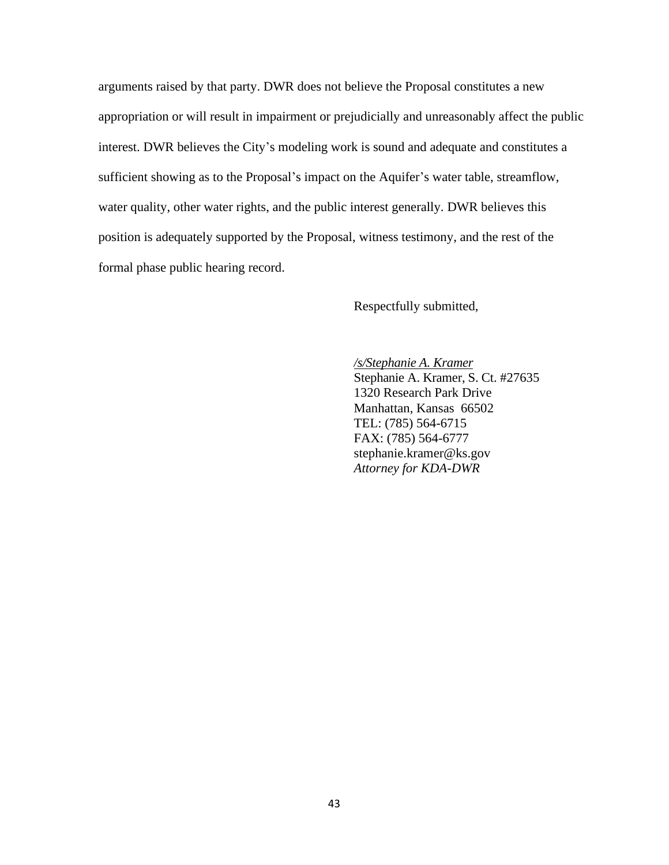arguments raised by that party. DWR does not believe the Proposal constitutes a new appropriation or will result in impairment or prejudicially and unreasonably affect the public interest. DWR believes the City's modeling work is sound and adequate and constitutes a sufficient showing as to the Proposal's impact on the Aquifer's water table, streamflow, water quality, other water rights, and the public interest generally. DWR believes this position is adequately supported by the Proposal, witness testimony, and the rest of the formal phase public hearing record.

Respectfully submitted,

*/s/Stephanie A. Kramer*  Stephanie A. Kramer, S. Ct. #27635 1320 Research Park Drive Manhattan, Kansas 66502 TEL: (785) 564-6715 FAX: (785) 564-6777 stephanie.kramer@ks.gov *Attorney for KDA-DWR*